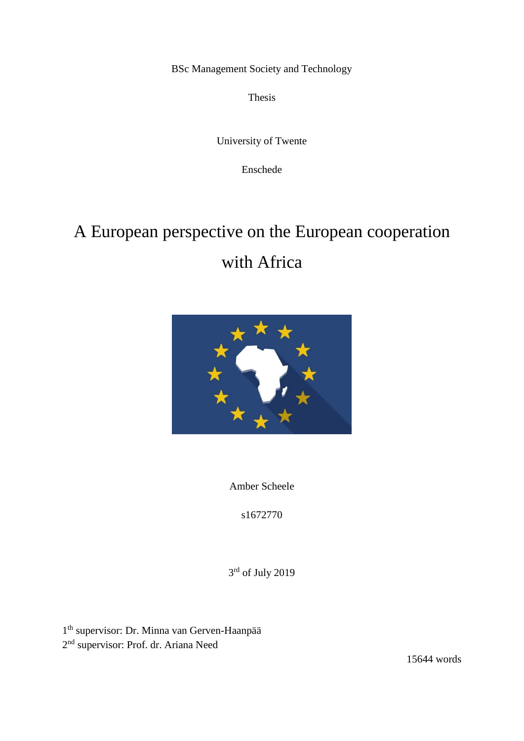BSc Management Society and Technology

Thesis

University of Twente

Enschede

# A European perspective on the European cooperation with Africa



Amber Scheele

s1672770

3<sup>rd</sup> of July 2019

1<sup>th</sup> supervisor: Dr. Minna van Gerven-Haanpää 2<sup>nd</sup> supervisor: Prof. dr. Ariana Need

15644 words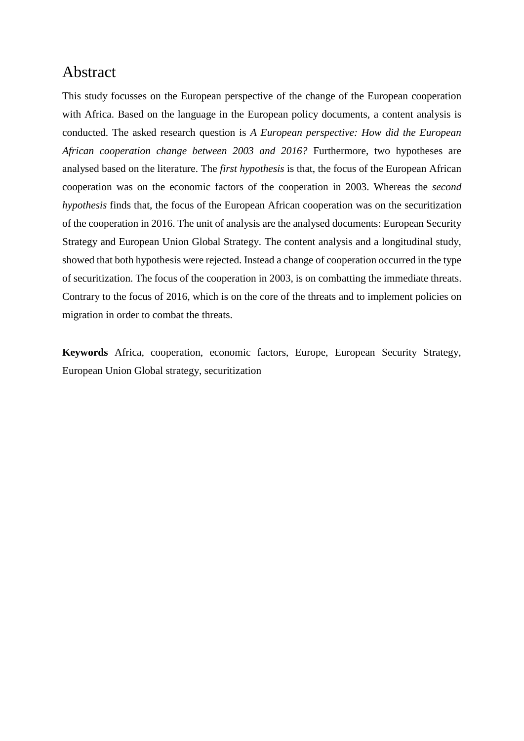# Abstract

This study focusses on the European perspective of the change of the European cooperation with Africa. Based on the language in the European policy documents, a content analysis is conducted. The asked research question is *A European perspective: How did the European African cooperation change between 2003 and 2016?* Furthermore, two hypotheses are analysed based on the literature. The *first hypothesis* is that, the focus of the European African cooperation was on the economic factors of the cooperation in 2003. Whereas the *second hypothesis* finds that, the focus of the European African cooperation was on the securitization of the cooperation in 2016. The unit of analysis are the analysed documents: European Security Strategy and European Union Global Strategy. The content analysis and a longitudinal study, showed that both hypothesis were rejected. Instead a change of cooperation occurred in the type of securitization. The focus of the cooperation in 2003, is on combatting the immediate threats. Contrary to the focus of 2016, which is on the core of the threats and to implement policies on migration in order to combat the threats.

**Keywords** Africa, cooperation, economic factors, Europe, European Security Strategy, European Union Global strategy, securitization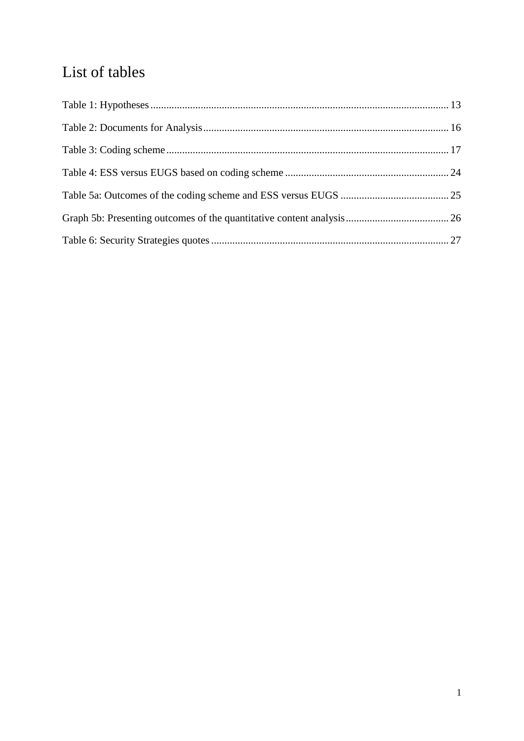# List of tables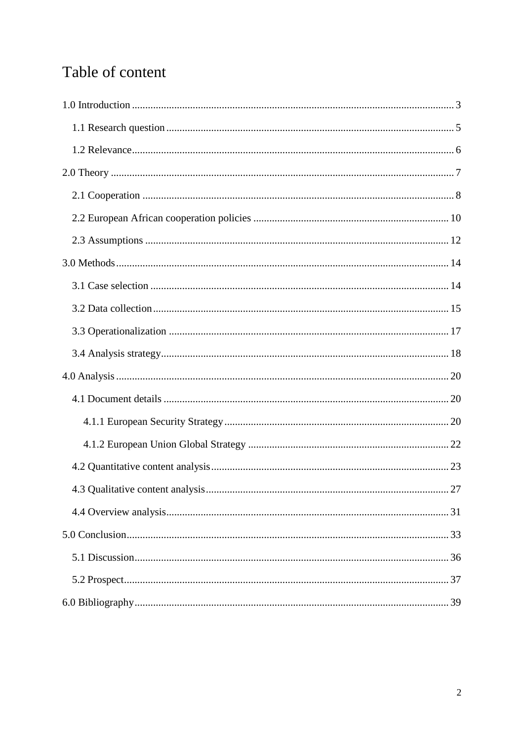# Table of content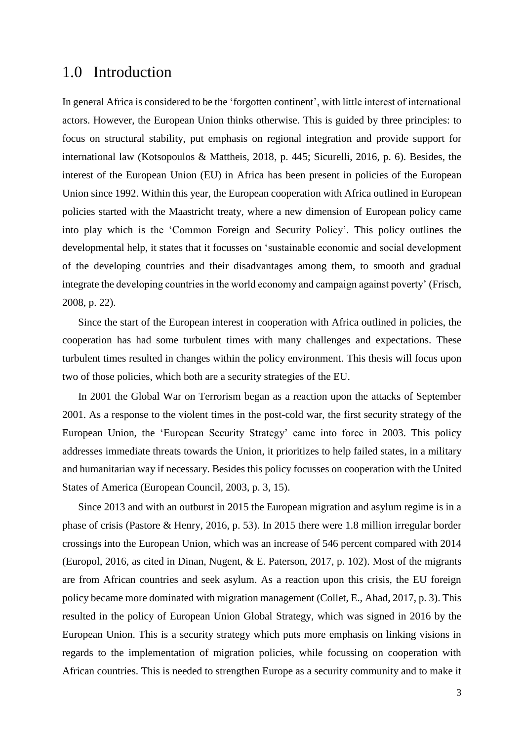## <span id="page-4-0"></span>1.0 Introduction

In general Africa is considered to be the 'forgotten continent', with little interest of international actors. However, the European Union thinks otherwise. This is guided by three principles: to focus on structural stability, put emphasis on regional integration and provide support for international law (Kotsopoulos & Mattheis, 2018, p. 445; Sicurelli, 2016, p. 6). Besides, the interest of the European Union (EU) in Africa has been present in policies of the European Union since 1992. Within this year, the European cooperation with Africa outlined in European policies started with the Maastricht treaty, where a new dimension of European policy came into play which is the 'Common Foreign and Security Policy'. This policy outlines the developmental help, it states that it focusses on 'sustainable economic and social development of the developing countries and their disadvantages among them, to smooth and gradual integrate the developing countries in the world economy and campaign against poverty' (Frisch, 2008, p. 22).

Since the start of the European interest in cooperation with Africa outlined in policies, the cooperation has had some turbulent times with many challenges and expectations. These turbulent times resulted in changes within the policy environment. This thesis will focus upon two of those policies, which both are a security strategies of the EU.

In 2001 the Global War on Terrorism began as a reaction upon the attacks of September 2001. As a response to the violent times in the post-cold war, the first security strategy of the European Union, the 'European Security Strategy' came into force in 2003. This policy addresses immediate threats towards the Union, it prioritizes to help failed states, in a military and humanitarian way if necessary. Besides this policy focusses on cooperation with the United States of America (European Council, 2003, p. 3, 15).

Since 2013 and with an outburst in 2015 the European migration and asylum regime is in a phase of crisis (Pastore & Henry, 2016, p. 53). In 2015 there were 1.8 million irregular border crossings into the European Union, which was an increase of 546 percent compared with 2014 (Europol, 2016, as cited in Dinan, Nugent, & E. Paterson, 2017, p. 102). Most of the migrants are from African countries and seek asylum. As a reaction upon this crisis, the EU foreign policy became more dominated with migration management (Collet, E., Ahad, 2017, p. 3). This resulted in the policy of European Union Global Strategy, which was signed in 2016 by the European Union. This is a security strategy which puts more emphasis on linking visions in regards to the implementation of migration policies, while focussing on cooperation with African countries. This is needed to strengthen Europe as a security community and to make it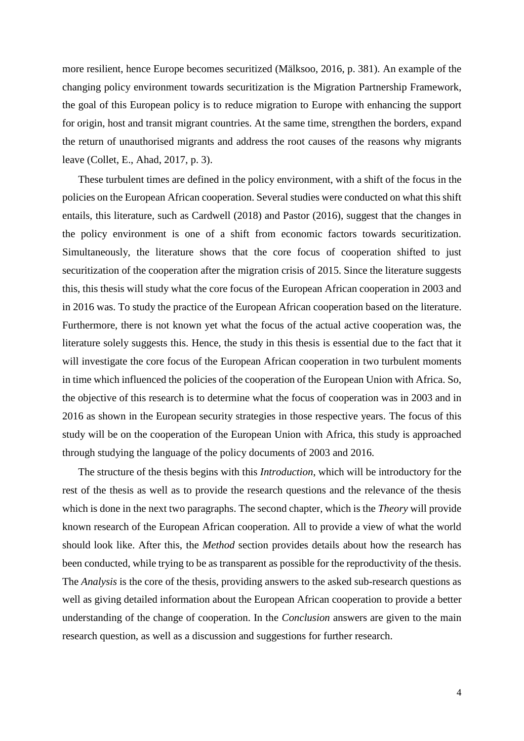more resilient, hence Europe becomes securitized (Mälksoo, 2016, p. 381). An example of the changing policy environment towards securitization is the Migration Partnership Framework, the goal of this European policy is to reduce migration to Europe with enhancing the support for origin, host and transit migrant countries. At the same time, strengthen the borders, expand the return of unauthorised migrants and address the root causes of the reasons why migrants leave (Collet, E., Ahad, 2017, p. 3).

These turbulent times are defined in the policy environment, with a shift of the focus in the policies on the European African cooperation. Several studies were conducted on what this shift entails, this literature, such as Cardwell (2018) and Pastor (2016), suggest that the changes in the policy environment is one of a shift from economic factors towards securitization. Simultaneously, the literature shows that the core focus of cooperation shifted to just securitization of the cooperation after the migration crisis of 2015. Since the literature suggests this, this thesis will study what the core focus of the European African cooperation in 2003 and in 2016 was. To study the practice of the European African cooperation based on the literature. Furthermore, there is not known yet what the focus of the actual active cooperation was, the literature solely suggests this. Hence, the study in this thesis is essential due to the fact that it will investigate the core focus of the European African cooperation in two turbulent moments in time which influenced the policies of the cooperation of the European Union with Africa. So, the objective of this research is to determine what the focus of cooperation was in 2003 and in 2016 as shown in the European security strategies in those respective years. The focus of this study will be on the cooperation of the European Union with Africa, this study is approached through studying the language of the policy documents of 2003 and 2016.

The structure of the thesis begins with this *Introduction*, which will be introductory for the rest of the thesis as well as to provide the research questions and the relevance of the thesis which is done in the next two paragraphs. The second chapter, which is the *Theory* will provide known research of the European African cooperation. All to provide a view of what the world should look like. After this, the *Method* section provides details about how the research has been conducted, while trying to be as transparent as possible for the reproductivity of the thesis. The *Analysis* is the core of the thesis, providing answers to the asked sub-research questions as well as giving detailed information about the European African cooperation to provide a better understanding of the change of cooperation. In the *Conclusion* answers are given to the main research question, as well as a discussion and suggestions for further research.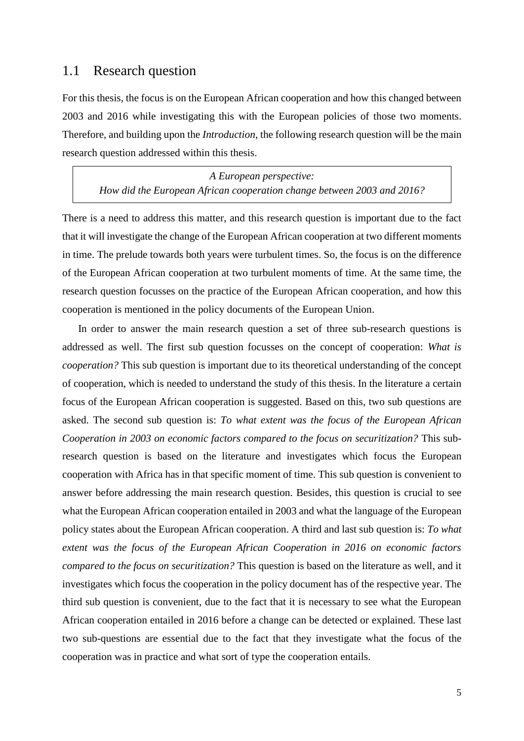#### <span id="page-6-0"></span>1.1 Research question

For this thesis, the focus is on the European African cooperation and how this changed between 2003 and 2016 while investigating this with the European policies of those two moments. Therefore, and building upon the *Introduction*, the following research question will be the main research question addressed within this thesis.

*A European perspective: How did the European African cooperation change between 2003 and 2016?*

There is a need to address this matter, and this research question is important due to the fact that it will investigate the change of the European African cooperation at two different moments in time. The prelude towards both years were turbulent times. So, the focus is on the difference of the European African cooperation at two turbulent moments of time. At the same time, the research question focusses on the practice of the European African cooperation, and how this cooperation is mentioned in the policy documents of the European Union.

In order to answer the main research question a set of three sub-research questions is addressed as well. The first sub question focusses on the concept of cooperation: *What is cooperation?* This sub question is important due to its theoretical understanding of the concept of cooperation, which is needed to understand the study of this thesis. In the literature a certain focus of the European African cooperation is suggested. Based on this, two sub questions are asked. The second sub question is: *To what extent was the focus of the European African Cooperation in 2003 on economic factors compared to the focus on securitization?* This subresearch question is based on the literature and investigates which focus the European cooperation with Africa has in that specific moment of time. This sub question is convenient to answer before addressing the main research question. Besides, this question is crucial to see what the European African cooperation entailed in 2003 and what the language of the European policy states about the European African cooperation. A third and last sub question is: *To what extent was the focus of the European African Cooperation in 2016 on economic factors compared to the focus on securitization?* This question is based on the literature as well, and it investigates which focus the cooperation in the policy document has of the respective year. The third sub question is convenient, due to the fact that it is necessary to see what the European African cooperation entailed in 2016 before a change can be detected or explained. These last two sub-questions are essential due to the fact that they investigate what the focus of the cooperation was in practice and what sort of type the cooperation entails.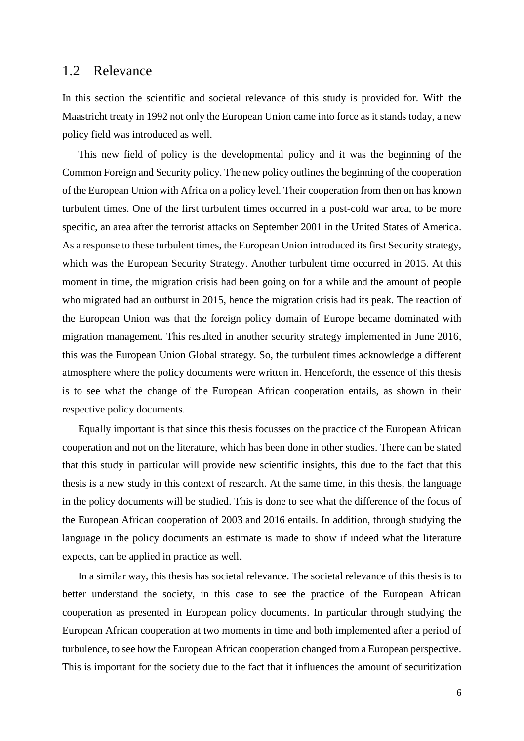#### <span id="page-7-0"></span>1.2 Relevance

In this section the scientific and societal relevance of this study is provided for. With the Maastricht treaty in 1992 not only the European Union came into force as it stands today, a new policy field was introduced as well.

This new field of policy is the developmental policy and it was the beginning of the Common Foreign and Security policy. The new policy outlines the beginning of the cooperation of the European Union with Africa on a policy level. Their cooperation from then on has known turbulent times. One of the first turbulent times occurred in a post-cold war area, to be more specific, an area after the terrorist attacks on September 2001 in the United States of America. As a response to these turbulent times, the European Union introduced its first Security strategy, which was the European Security Strategy. Another turbulent time occurred in 2015. At this moment in time, the migration crisis had been going on for a while and the amount of people who migrated had an outburst in 2015, hence the migration crisis had its peak. The reaction of the European Union was that the foreign policy domain of Europe became dominated with migration management. This resulted in another security strategy implemented in June 2016, this was the European Union Global strategy. So, the turbulent times acknowledge a different atmosphere where the policy documents were written in. Henceforth, the essence of this thesis is to see what the change of the European African cooperation entails, as shown in their respective policy documents.

Equally important is that since this thesis focusses on the practice of the European African cooperation and not on the literature, which has been done in other studies. There can be stated that this study in particular will provide new scientific insights, this due to the fact that this thesis is a new study in this context of research. At the same time, in this thesis, the language in the policy documents will be studied. This is done to see what the difference of the focus of the European African cooperation of 2003 and 2016 entails. In addition, through studying the language in the policy documents an estimate is made to show if indeed what the literature expects, can be applied in practice as well.

In a similar way, this thesis has societal relevance. The societal relevance of this thesis is to better understand the society, in this case to see the practice of the European African cooperation as presented in European policy documents. In particular through studying the European African cooperation at two moments in time and both implemented after a period of turbulence, to see how the European African cooperation changed from a European perspective. This is important for the society due to the fact that it influences the amount of securitization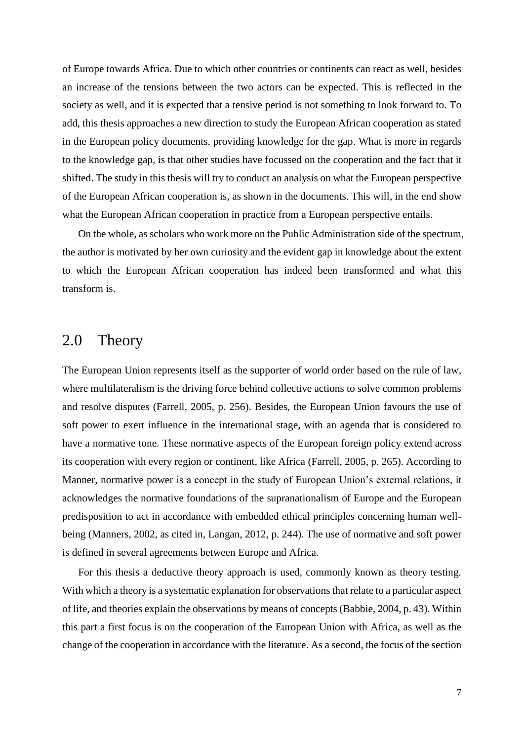of Europe towards Africa. Due to which other countries or continents can react as well, besides an increase of the tensions between the two actors can be expected. This is reflected in the society as well, and it is expected that a tensive period is not something to look forward to. To add, this thesis approaches a new direction to study the European African cooperation as stated in the European policy documents, providing knowledge for the gap. What is more in regards to the knowledge gap, is that other studies have focussed on the cooperation and the fact that it shifted. The study in this thesis will try to conduct an analysis on what the European perspective of the European African cooperation is, as shown in the documents. This will, in the end show what the European African cooperation in practice from a European perspective entails.

On the whole, as scholars who work more on the Public Administration side of the spectrum, the author is motivated by her own curiosity and the evident gap in knowledge about the extent to which the European African cooperation has indeed been transformed and what this transform is.

## <span id="page-8-0"></span>2.0 Theory

The European Union represents itself as the supporter of world order based on the rule of law, where multilateralism is the driving force behind collective actions to solve common problems and resolve disputes (Farrell, 2005, p. 256). Besides, the European Union favours the use of soft power to exert influence in the international stage, with an agenda that is considered to have a normative tone. These normative aspects of the European foreign policy extend across its cooperation with every region or continent, like Africa (Farrell, 2005, p. 265). According to Manner, normative power is a concept in the study of European Union's external relations, it acknowledges the normative foundations of the supranationalism of Europe and the European predisposition to act in accordance with embedded ethical principles concerning human wellbeing (Manners, 2002, as cited in, Langan, 2012, p. 244). The use of normative and soft power is defined in several agreements between Europe and Africa.

For this thesis a deductive theory approach is used, commonly known as theory testing. With which a theory is a systematic explanation for observations that relate to a particular aspect of life, and theories explain the observations by means of concepts (Babbie, 2004, p. 43). Within this part a first focus is on the cooperation of the European Union with Africa, as well as the change of the cooperation in accordance with the literature. As a second, the focus of the section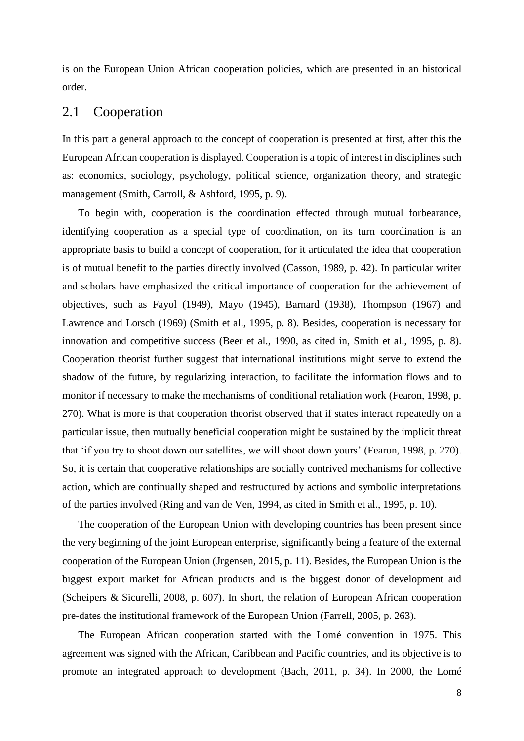is on the European Union African cooperation policies, which are presented in an historical order.

#### <span id="page-9-0"></span>2.1 Cooperation

In this part a general approach to the concept of cooperation is presented at first, after this the European African cooperation is displayed. Cooperation is a topic of interest in disciplines such as: economics, sociology, psychology, political science, organization theory, and strategic management (Smith, Carroll, & Ashford, 1995, p. 9).

To begin with, cooperation is the coordination effected through mutual forbearance, identifying cooperation as a special type of coordination, on its turn coordination is an appropriate basis to build a concept of cooperation, for it articulated the idea that cooperation is of mutual benefit to the parties directly involved (Casson, 1989, p. 42). In particular writer and scholars have emphasized the critical importance of cooperation for the achievement of objectives, such as Fayol (1949), Mayo (1945), Barnard (1938), Thompson (1967) and Lawrence and Lorsch (1969) (Smith et al., 1995, p. 8). Besides, cooperation is necessary for innovation and competitive success (Beer et al., 1990, as cited in, Smith et al., 1995, p. 8). Cooperation theorist further suggest that international institutions might serve to extend the shadow of the future, by regularizing interaction, to facilitate the information flows and to monitor if necessary to make the mechanisms of conditional retaliation work (Fearon, 1998, p. 270). What is more is that cooperation theorist observed that if states interact repeatedly on a particular issue, then mutually beneficial cooperation might be sustained by the implicit threat that 'if you try to shoot down our satellites, we will shoot down yours' (Fearon, 1998, p. 270). So, it is certain that cooperative relationships are socially contrived mechanisms for collective action, which are continually shaped and restructured by actions and symbolic interpretations of the parties involved (Ring and van de Ven, 1994, as cited in Smith et al., 1995, p. 10).

The cooperation of the European Union with developing countries has been present since the very beginning of the joint European enterprise, significantly being a feature of the external cooperation of the European Union (Jrgensen, 2015, p. 11). Besides, the European Union is the biggest export market for African products and is the biggest donor of development aid (Scheipers & Sicurelli, 2008, p. 607). In short, the relation of European African cooperation pre-dates the institutional framework of the European Union (Farrell, 2005, p. 263).

The European African cooperation started with the Lomé convention in 1975. This agreement was signed with the African, Caribbean and Pacific countries, and its objective is to promote an integrated approach to development (Bach, 2011, p. 34). In 2000, the Lomé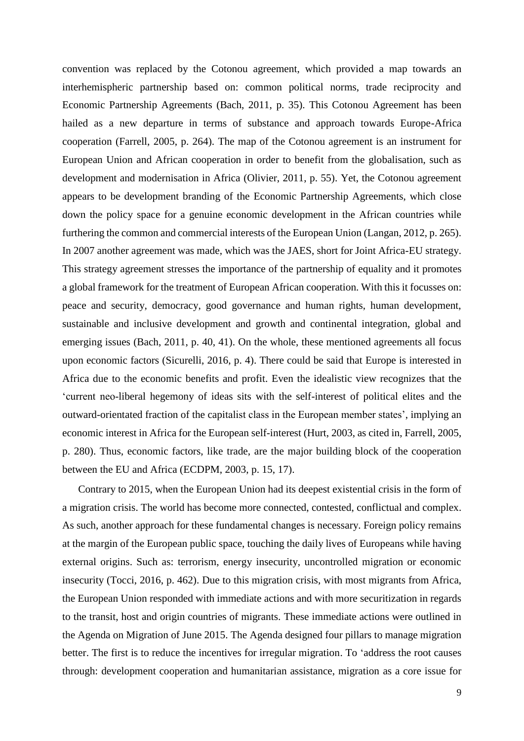convention was replaced by the Cotonou agreement, which provided a map towards an interhemispheric partnership based on: common political norms, trade reciprocity and Economic Partnership Agreements (Bach, 2011, p. 35). This Cotonou Agreement has been hailed as a new departure in terms of substance and approach towards Europe-Africa cooperation (Farrell, 2005, p. 264). The map of the Cotonou agreement is an instrument for European Union and African cooperation in order to benefit from the globalisation, such as development and modernisation in Africa (Olivier, 2011, p. 55). Yet, the Cotonou agreement appears to be development branding of the Economic Partnership Agreements, which close down the policy space for a genuine economic development in the African countries while furthering the common and commercial interests of the European Union (Langan, 2012, p. 265). In 2007 another agreement was made, which was the JAES, short for Joint Africa-EU strategy. This strategy agreement stresses the importance of the partnership of equality and it promotes a global framework for the treatment of European African cooperation. With this it focusses on: peace and security, democracy, good governance and human rights, human development, sustainable and inclusive development and growth and continental integration, global and emerging issues (Bach, 2011, p. 40, 41). On the whole, these mentioned agreements all focus upon economic factors (Sicurelli, 2016, p. 4). There could be said that Europe is interested in Africa due to the economic benefits and profit. Even the idealistic view recognizes that the 'current neo-liberal hegemony of ideas sits with the self-interest of political elites and the outward-orientated fraction of the capitalist class in the European member states', implying an economic interest in Africa for the European self-interest (Hurt, 2003, as cited in, Farrell, 2005, p. 280). Thus, economic factors, like trade, are the major building block of the cooperation between the EU and Africa (ECDPM, 2003, p. 15, 17).

Contrary to 2015, when the European Union had its deepest existential crisis in the form of a migration crisis. The world has become more connected, contested, conflictual and complex. As such, another approach for these fundamental changes is necessary. Foreign policy remains at the margin of the European public space, touching the daily lives of Europeans while having external origins. Such as: terrorism, energy insecurity, uncontrolled migration or economic insecurity (Tocci, 2016, p. 462). Due to this migration crisis, with most migrants from Africa, the European Union responded with immediate actions and with more securitization in regards to the transit, host and origin countries of migrants. These immediate actions were outlined in the Agenda on Migration of June 2015. The Agenda designed four pillars to manage migration better. The first is to reduce the incentives for irregular migration. To 'address the root causes through: development cooperation and humanitarian assistance, migration as a core issue for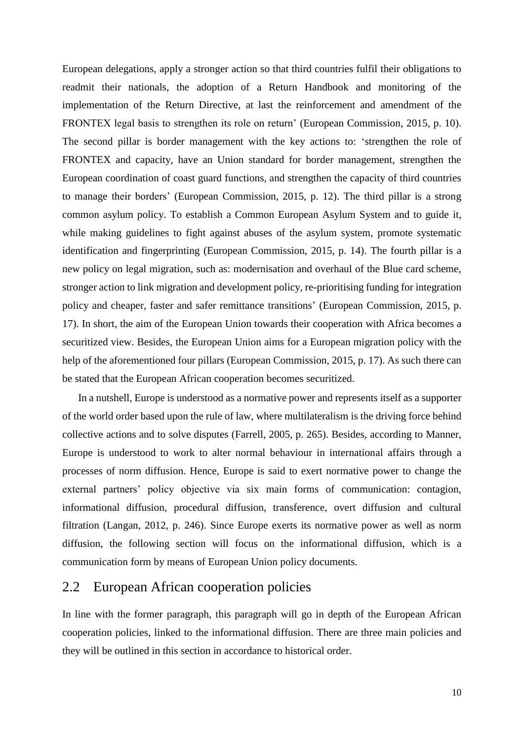European delegations, apply a stronger action so that third countries fulfil their obligations to readmit their nationals, the adoption of a Return Handbook and monitoring of the implementation of the Return Directive, at last the reinforcement and amendment of the FRONTEX legal basis to strengthen its role on return' (European Commission, 2015, p. 10). The second pillar is border management with the key actions to: 'strengthen the role of FRONTEX and capacity, have an Union standard for border management, strengthen the European coordination of coast guard functions, and strengthen the capacity of third countries to manage their borders' (European Commission, 2015, p. 12). The third pillar is a strong common asylum policy. To establish a Common European Asylum System and to guide it, while making guidelines to fight against abuses of the asylum system, promote systematic identification and fingerprinting (European Commission, 2015, p. 14). The fourth pillar is a new policy on legal migration, such as: modernisation and overhaul of the Blue card scheme, stronger action to link migration and development policy, re-prioritising funding for integration policy and cheaper, faster and safer remittance transitions' (European Commission, 2015, p. 17). In short, the aim of the European Union towards their cooperation with Africa becomes a securitized view. Besides, the European Union aims for a European migration policy with the help of the aforementioned four pillars (European Commission, 2015, p. 17). As such there can be stated that the European African cooperation becomes securitized.

In a nutshell, Europe is understood as a normative power and represents itself as a supporter of the world order based upon the rule of law, where multilateralism is the driving force behind collective actions and to solve disputes (Farrell, 2005, p. 265). Besides, according to Manner, Europe is understood to work to alter normal behaviour in international affairs through a processes of norm diffusion. Hence, Europe is said to exert normative power to change the external partners' policy objective via six main forms of communication: contagion, informational diffusion, procedural diffusion, transference, overt diffusion and cultural filtration (Langan, 2012, p. 246). Since Europe exerts its normative power as well as norm diffusion, the following section will focus on the informational diffusion, which is a communication form by means of European Union policy documents.

#### <span id="page-11-0"></span>2.2 European African cooperation policies

In line with the former paragraph, this paragraph will go in depth of the European African cooperation policies, linked to the informational diffusion. There are three main policies and they will be outlined in this section in accordance to historical order.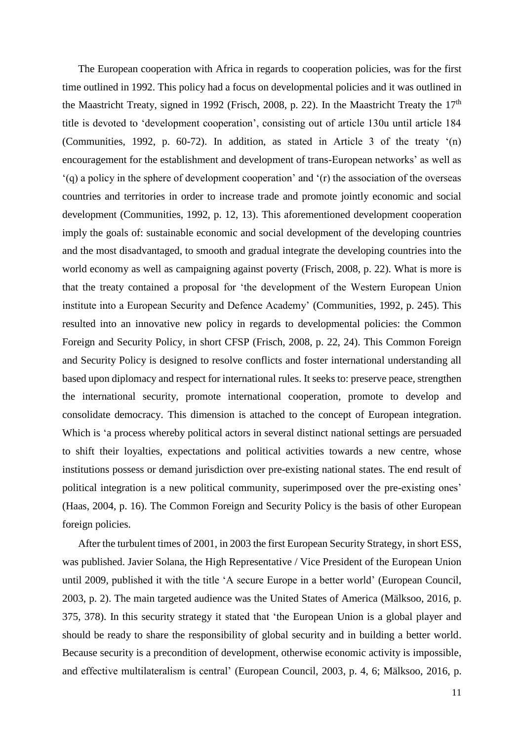The European cooperation with Africa in regards to cooperation policies, was for the first time outlined in 1992. This policy had a focus on developmental policies and it was outlined in the Maastricht Treaty, signed in 1992 (Frisch, 2008, p. 22). In the Maastricht Treaty the  $17<sup>th</sup>$ title is devoted to 'development cooperation', consisting out of article 130u until article 184 (Communities, 1992, p. 60-72). In addition, as stated in Article 3 of the treaty '(n) encouragement for the establishment and development of trans-European networks' as well as '(q) a policy in the sphere of development cooperation' and '(r) the association of the overseas countries and territories in order to increase trade and promote jointly economic and social development (Communities, 1992, p. 12, 13). This aforementioned development cooperation imply the goals of: sustainable economic and social development of the developing countries and the most disadvantaged, to smooth and gradual integrate the developing countries into the world economy as well as campaigning against poverty (Frisch, 2008, p. 22). What is more is that the treaty contained a proposal for 'the development of the Western European Union institute into a European Security and Defence Academy' (Communities, 1992, p. 245). This resulted into an innovative new policy in regards to developmental policies: the Common Foreign and Security Policy, in short CFSP (Frisch, 2008, p. 22, 24). This Common Foreign and Security Policy is designed to resolve conflicts and foster international understanding all based upon diplomacy and respect for international rules. It seeks to: preserve peace, strengthen the international security, promote international cooperation, promote to develop and consolidate democracy. This dimension is attached to the concept of European integration. Which is 'a process whereby political actors in several distinct national settings are persuaded to shift their loyalties, expectations and political activities towards a new centre, whose institutions possess or demand jurisdiction over pre-existing national states. The end result of political integration is a new political community, superimposed over the pre-existing ones' (Haas, 2004, p. 16). The Common Foreign and Security Policy is the basis of other European foreign policies.

After the turbulent times of 2001, in 2003 the first European Security Strategy, in short ESS, was published. Javier Solana, the High Representative / Vice President of the European Union until 2009, published it with the title 'A secure Europe in a better world' (European Council, 2003, p. 2). The main targeted audience was the United States of America (Mälksoo, 2016, p. 375, 378). In this security strategy it stated that 'the European Union is a global player and should be ready to share the responsibility of global security and in building a better world. Because security is a precondition of development, otherwise economic activity is impossible, and effective multilateralism is central' (European Council, 2003, p. 4, 6; Mälksoo, 2016, p.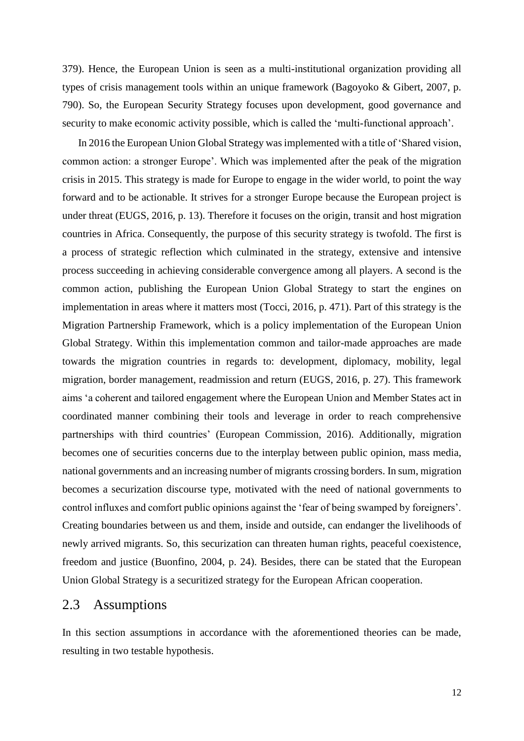379). Hence, the European Union is seen as a multi-institutional organization providing all types of crisis management tools within an unique framework (Bagoyoko & Gibert, 2007, p. 790). So, the European Security Strategy focuses upon development, good governance and security to make economic activity possible, which is called the 'multi-functional approach'.

In 2016 the European Union Global Strategy was implemented with a title of 'Shared vision, common action: a stronger Europe'. Which was implemented after the peak of the migration crisis in 2015. This strategy is made for Europe to engage in the wider world, to point the way forward and to be actionable. It strives for a stronger Europe because the European project is under threat (EUGS, 2016, p. 13). Therefore it focuses on the origin, transit and host migration countries in Africa. Consequently, the purpose of this security strategy is twofold. The first is a process of strategic reflection which culminated in the strategy, extensive and intensive process succeeding in achieving considerable convergence among all players. A second is the common action, publishing the European Union Global Strategy to start the engines on implementation in areas where it matters most (Tocci, 2016, p. 471). Part of this strategy is the Migration Partnership Framework, which is a policy implementation of the European Union Global Strategy. Within this implementation common and tailor-made approaches are made towards the migration countries in regards to: development, diplomacy, mobility, legal migration, border management, readmission and return (EUGS, 2016, p. 27). This framework aims 'a coherent and tailored engagement where the European Union and Member States act in coordinated manner combining their tools and leverage in order to reach comprehensive partnerships with third countries' (European Commission, 2016). Additionally, migration becomes one of securities concerns due to the interplay between public opinion, mass media, national governments and an increasing number of migrants crossing borders. In sum, migration becomes a securization discourse type, motivated with the need of national governments to control influxes and comfort public opinions against the 'fear of being swamped by foreigners'. Creating boundaries between us and them, inside and outside, can endanger the livelihoods of newly arrived migrants. So, this securization can threaten human rights, peaceful coexistence, freedom and justice (Buonfino, 2004, p. 24). Besides, there can be stated that the European Union Global Strategy is a securitized strategy for the European African cooperation.

#### <span id="page-13-0"></span>2.3 Assumptions

In this section assumptions in accordance with the aforementioned theories can be made, resulting in two testable hypothesis.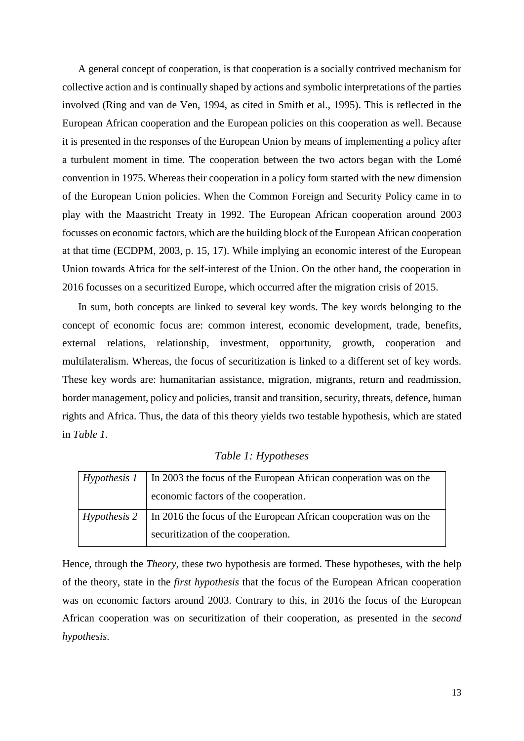A general concept of cooperation, is that cooperation is a socially contrived mechanism for collective action and is continually shaped by actions and symbolic interpretations of the parties involved (Ring and van de Ven, 1994, as cited in Smith et al., 1995). This is reflected in the European African cooperation and the European policies on this cooperation as well. Because it is presented in the responses of the European Union by means of implementing a policy after a turbulent moment in time. The cooperation between the two actors began with the Lomé convention in 1975. Whereas their cooperation in a policy form started with the new dimension of the European Union policies. When the Common Foreign and Security Policy came in to play with the Maastricht Treaty in 1992. The European African cooperation around 2003 focusses on economic factors, which are the building block of the European African cooperation at that time (ECDPM, 2003, p. 15, 17). While implying an economic interest of the European Union towards Africa for the self-interest of the Union. On the other hand, the cooperation in 2016 focusses on a securitized Europe, which occurred after the migration crisis of 2015.

In sum, both concepts are linked to several key words. The key words belonging to the concept of economic focus are: common interest, economic development, trade, benefits, external relations, relationship, investment, opportunity, growth, cooperation and multilateralism. Whereas, the focus of securitization is linked to a different set of key words. These key words are: humanitarian assistance, migration, migrants, return and readmission, border management, policy and policies, transit and transition, security, threats, defence, human rights and Africa. Thus, the data of this theory yields two testable hypothesis, which are stated in *Table 1*.

<span id="page-14-0"></span>

| Hypothesis 1 | In 2003 the focus of the European African cooperation was on the |  |
|--------------|------------------------------------------------------------------|--|
|              | economic factors of the cooperation.                             |  |
| Hypothesis 2 | In 2016 the focus of the European African cooperation was on the |  |
|              | securitization of the cooperation.                               |  |

*Table 1: Hypotheses*

Hence, through the *Theory*, these two hypothesis are formed. These hypotheses, with the help of the theory, state in the *first hypothesis* that the focus of the European African cooperation was on economic factors around 2003. Contrary to this, in 2016 the focus of the European African cooperation was on securitization of their cooperation, as presented in the *second hypothesis*.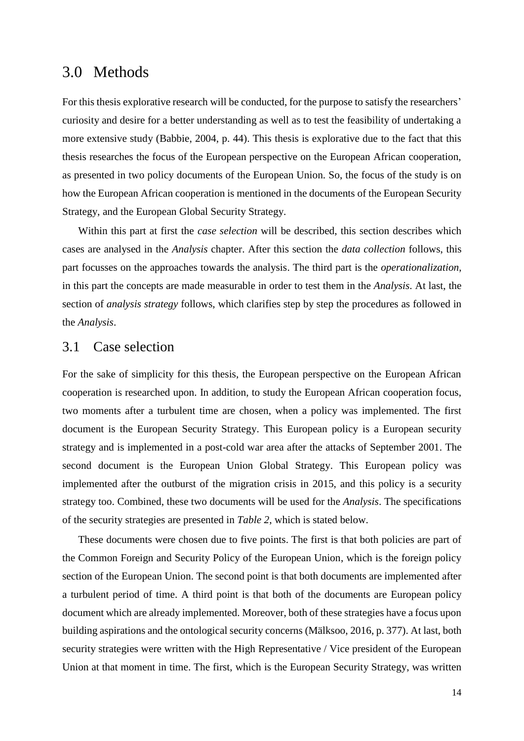### <span id="page-15-0"></span>3.0 Methods

For this thesis explorative research will be conducted, for the purpose to satisfy the researchers' curiosity and desire for a better understanding as well as to test the feasibility of undertaking a more extensive study (Babbie, 2004, p. 44). This thesis is explorative due to the fact that this thesis researches the focus of the European perspective on the European African cooperation, as presented in two policy documents of the European Union. So, the focus of the study is on how the European African cooperation is mentioned in the documents of the European Security Strategy, and the European Global Security Strategy.

Within this part at first the *case selection* will be described, this section describes which cases are analysed in the *Analysis* chapter. After this section the *data collection* follows, this part focusses on the approaches towards the analysis. The third part is the *operationalization*, in this part the concepts are made measurable in order to test them in the *Analysis*. At last, the section of *analysis strategy* follows, which clarifies step by step the procedures as followed in the *Analysis*.

#### <span id="page-15-1"></span>3.1 Case selection

For the sake of simplicity for this thesis, the European perspective on the European African cooperation is researched upon. In addition, to study the European African cooperation focus, two moments after a turbulent time are chosen, when a policy was implemented. The first document is the European Security Strategy. This European policy is a European security strategy and is implemented in a post-cold war area after the attacks of September 2001. The second document is the European Union Global Strategy. This European policy was implemented after the outburst of the migration crisis in 2015, and this policy is a security strategy too. Combined, these two documents will be used for the *Analysis*. The specifications of the security strategies are presented in *Table 2*, which is stated below.

These documents were chosen due to five points. The first is that both policies are part of the Common Foreign and Security Policy of the European Union, which is the foreign policy section of the European Union. The second point is that both documents are implemented after a turbulent period of time. A third point is that both of the documents are European policy document which are already implemented. Moreover, both of these strategies have a focus upon building aspirations and the ontological security concerns (Mälksoo, 2016, p. 377). At last, both security strategies were written with the High Representative / Vice president of the European Union at that moment in time. The first, which is the European Security Strategy, was written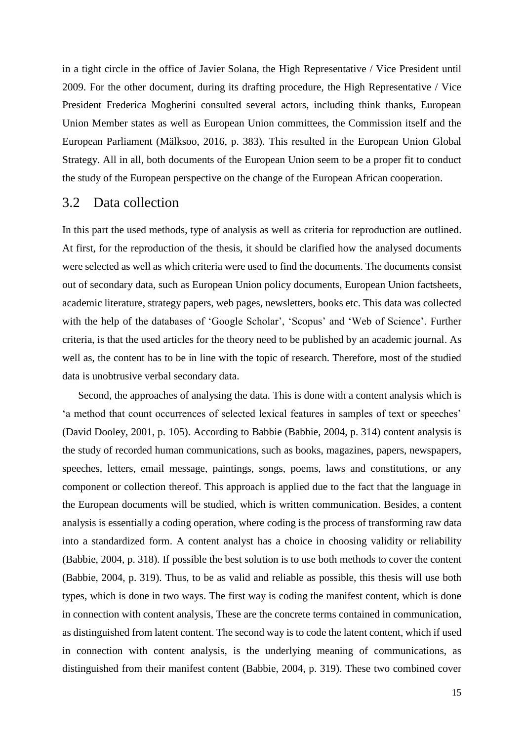in a tight circle in the office of Javier Solana, the High Representative / Vice President until 2009. For the other document, during its drafting procedure, the High Representative / Vice President Frederica Mogherini consulted several actors, including think thanks, European Union Member states as well as European Union committees, the Commission itself and the European Parliament (Mälksoo, 2016, p. 383). This resulted in the European Union Global Strategy. All in all, both documents of the European Union seem to be a proper fit to conduct the study of the European perspective on the change of the European African cooperation.

#### <span id="page-16-0"></span>3.2 Data collection

In this part the used methods, type of analysis as well as criteria for reproduction are outlined. At first, for the reproduction of the thesis, it should be clarified how the analysed documents were selected as well as which criteria were used to find the documents. The documents consist out of secondary data, such as European Union policy documents, European Union factsheets, academic literature, strategy papers, web pages, newsletters, books etc. This data was collected with the help of the databases of 'Google Scholar', 'Scopus' and 'Web of Science'. Further criteria, is that the used articles for the theory need to be published by an academic journal. As well as, the content has to be in line with the topic of research. Therefore, most of the studied data is unobtrusive verbal secondary data.

Second, the approaches of analysing the data. This is done with a content analysis which is 'a method that count occurrences of selected lexical features in samples of text or speeches' (David Dooley, 2001, p. 105). According to Babbie (Babbie, 2004, p. 314) content analysis is the study of recorded human communications, such as books, magazines, papers, newspapers, speeches, letters, email message, paintings, songs, poems, laws and constitutions, or any component or collection thereof. This approach is applied due to the fact that the language in the European documents will be studied, which is written communication. Besides, a content analysis is essentially a coding operation, where coding is the process of transforming raw data into a standardized form. A content analyst has a choice in choosing validity or reliability (Babbie, 2004, p. 318). If possible the best solution is to use both methods to cover the content (Babbie, 2004, p. 319). Thus, to be as valid and reliable as possible, this thesis will use both types, which is done in two ways. The first way is coding the manifest content, which is done in connection with content analysis, These are the concrete terms contained in communication, as distinguished from latent content. The second way is to code the latent content, which if used in connection with content analysis, is the underlying meaning of communications, as distinguished from their manifest content (Babbie, 2004, p. 319). These two combined cover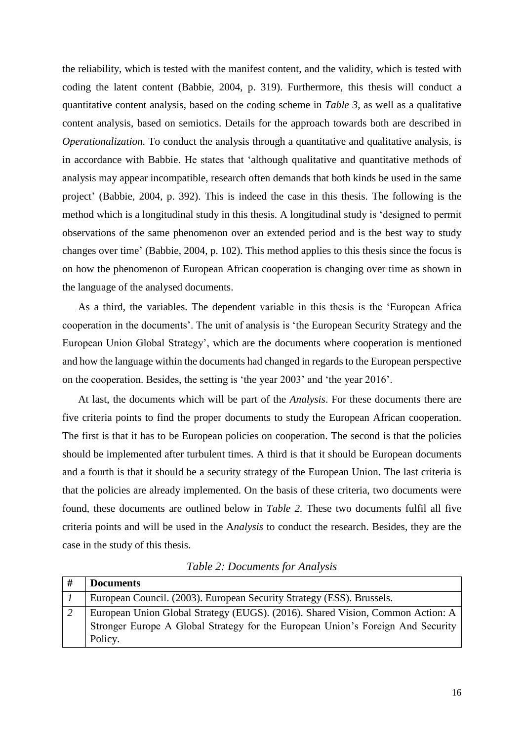the reliability, which is tested with the manifest content, and the validity, which is tested with coding the latent content (Babbie, 2004, p. 319). Furthermore, this thesis will conduct a quantitative content analysis, based on the coding scheme in *Table 3*, as well as a qualitative content analysis, based on semiotics. Details for the approach towards both are described in *Operationalization*. To conduct the analysis through a quantitative and qualitative analysis, is in accordance with Babbie. He states that 'although qualitative and quantitative methods of analysis may appear incompatible, research often demands that both kinds be used in the same project' (Babbie, 2004, p. 392). This is indeed the case in this thesis. The following is the method which is a longitudinal study in this thesis. A longitudinal study is 'designed to permit observations of the same phenomenon over an extended period and is the best way to study changes over time' (Babbie, 2004, p. 102). This method applies to this thesis since the focus is on how the phenomenon of European African cooperation is changing over time as shown in the language of the analysed documents.

As a third, the variables. The dependent variable in this thesis is the 'European Africa cooperation in the documents'. The unit of analysis is 'the European Security Strategy and the European Union Global Strategy', which are the documents where cooperation is mentioned and how the language within the documents had changed in regards to the European perspective on the cooperation. Besides, the setting is 'the year 2003' and 'the year 2016'.

At last, the documents which will be part of the *Analysis*. For these documents there are five criteria points to find the proper documents to study the European African cooperation. The first is that it has to be European policies on cooperation. The second is that the policies should be implemented after turbulent times. A third is that it should be European documents and a fourth is that it should be a security strategy of the European Union. The last criteria is that the policies are already implemented. On the basis of these criteria, two documents were found, these documents are outlined below in *Table 2.* These two documents fulfil all five criteria points and will be used in the A*nalysis* to conduct the research. Besides, they are the case in the study of this thesis.

<span id="page-17-0"></span>

| # | <b>Documents</b>                                                                |
|---|---------------------------------------------------------------------------------|
|   | European Council. (2003). European Security Strategy (ESS). Brussels.           |
|   | European Union Global Strategy (EUGS). (2016). Shared Vision, Common Action: A  |
|   | Stronger Europe A Global Strategy for the European Union's Foreign And Security |
|   | Policy.                                                                         |

*Table 2: Documents for Analysis*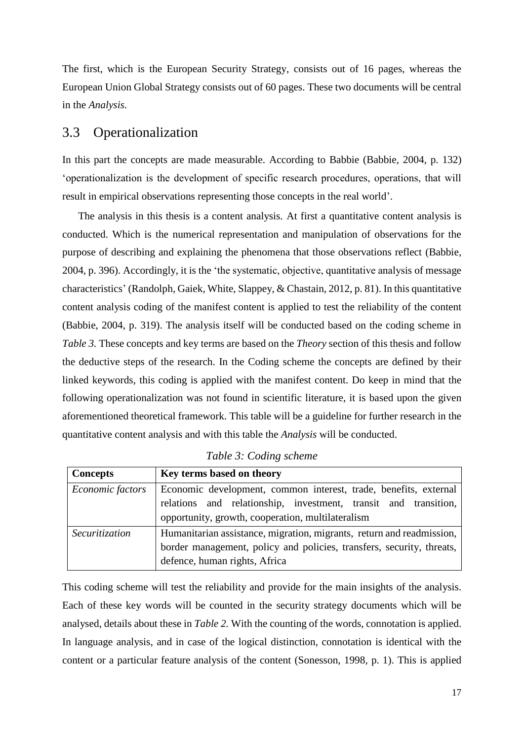The first, which is the European Security Strategy, consists out of 16 pages, whereas the European Union Global Strategy consists out of 60 pages. These two documents will be central in the *Analysis.* 

#### <span id="page-18-1"></span>3.3 Operationalization

In this part the concepts are made measurable. According to Babbie (Babbie, 2004, p. 132) 'operationalization is the development of specific research procedures, operations, that will result in empirical observations representing those concepts in the real world'.

The analysis in this thesis is a content analysis. At first a quantitative content analysis is conducted. Which is the numerical representation and manipulation of observations for the purpose of describing and explaining the phenomena that those observations reflect (Babbie, 2004, p. 396). Accordingly, it is the 'the systematic, objective, quantitative analysis of message characteristics' (Randolph, Gaiek, White, Slappey, & Chastain, 2012, p. 81). In this quantitative content analysis coding of the manifest content is applied to test the reliability of the content (Babbie, 2004, p. 319). The analysis itself will be conducted based on the coding scheme in *Table 3.* These concepts and key terms are based on the *Theory* section of this thesis and follow the deductive steps of the research. In the Coding scheme the concepts are defined by their linked keywords, this coding is applied with the manifest content. Do keep in mind that the following operationalization was not found in scientific literature, it is based upon the given aforementioned theoretical framework. This table will be a guideline for further research in the quantitative content analysis and with this table the *Analysis* will be conducted.

<span id="page-18-0"></span>

| <b>Concepts</b>  | Key terms based on theory                                             |  |  |
|------------------|-----------------------------------------------------------------------|--|--|
| Economic factors | Economic development, common interest, trade, benefits, external      |  |  |
|                  | relations and relationship, investment, transit and transition,       |  |  |
|                  | opportunity, growth, cooperation, multilateralism                     |  |  |
| Securitization   | Humanitarian assistance, migration, migrants, return and readmission, |  |  |
|                  | border management, policy and policies, transfers, security, threats, |  |  |
|                  | defence, human rights, Africa                                         |  |  |

*Table 3: Coding scheme*

This coding scheme will test the reliability and provide for the main insights of the analysis. Each of these key words will be counted in the security strategy documents which will be analysed, details about these in *Table 2.* With the counting of the words, connotation is applied. In language analysis, and in case of the logical distinction, connotation is identical with the content or a particular feature analysis of the content (Sonesson, 1998, p. 1). This is applied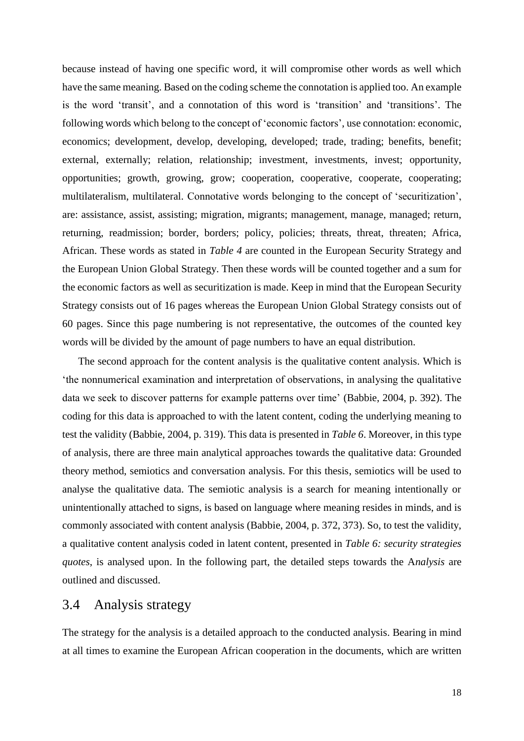because instead of having one specific word, it will compromise other words as well which have the same meaning. Based on the coding scheme the connotation is applied too. An example is the word 'transit', and a connotation of this word is 'transition' and 'transitions'. The following words which belong to the concept of 'economic factors', use connotation: economic, economics; development, develop, developing, developed; trade, trading; benefits, benefit; external, externally; relation, relationship; investment, investments, invest; opportunity, opportunities; growth, growing, grow; cooperation, cooperative, cooperate, cooperating; multilateralism, multilateral. Connotative words belonging to the concept of 'securitization', are: assistance, assist, assisting; migration, migrants; management, manage, managed; return, returning, readmission; border, borders; policy, policies; threats, threat, threaten; Africa, African. These words as stated in *Table 4* are counted in the European Security Strategy and the European Union Global Strategy. Then these words will be counted together and a sum for the economic factors as well as securitization is made. Keep in mind that the European Security Strategy consists out of 16 pages whereas the European Union Global Strategy consists out of 60 pages. Since this page numbering is not representative, the outcomes of the counted key words will be divided by the amount of page numbers to have an equal distribution.

The second approach for the content analysis is the qualitative content analysis. Which is 'the nonnumerical examination and interpretation of observations, in analysing the qualitative data we seek to discover patterns for example patterns over time' (Babbie, 2004, p. 392). The coding for this data is approached to with the latent content, coding the underlying meaning to test the validity (Babbie, 2004, p. 319). This data is presented in *Table 6*. Moreover, in this type of analysis, there are three main analytical approaches towards the qualitative data: Grounded theory method, semiotics and conversation analysis. For this thesis, semiotics will be used to analyse the qualitative data. The semiotic analysis is a search for meaning intentionally or unintentionally attached to signs, is based on language where meaning resides in minds, and is commonly associated with content analysis (Babbie, 2004, p. 372, 373). So, to test the validity, a qualitative content analysis coded in latent content, presented in *Table 6: security strategies quotes*, is analysed upon. In the following part, the detailed steps towards the A*nalysis* are outlined and discussed.

#### <span id="page-19-0"></span>3.4 Analysis strategy

The strategy for the analysis is a detailed approach to the conducted analysis. Bearing in mind at all times to examine the European African cooperation in the documents, which are written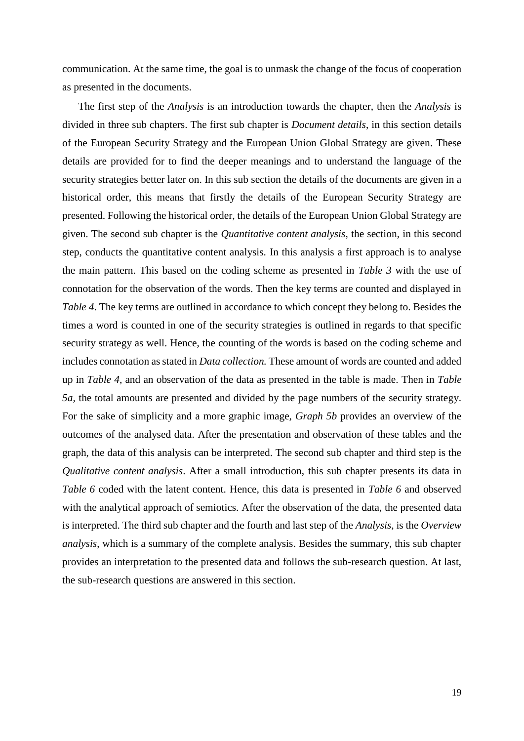communication. At the same time, the goal is to unmask the change of the focus of cooperation as presented in the documents.

The first step of the *Analysis* is an introduction towards the chapter, then the *Analysis* is divided in three sub chapters. The first sub chapter is *Document details*, in this section details of the European Security Strategy and the European Union Global Strategy are given. These details are provided for to find the deeper meanings and to understand the language of the security strategies better later on. In this sub section the details of the documents are given in a historical order, this means that firstly the details of the European Security Strategy are presented. Following the historical order, the details of the European Union Global Strategy are given. The second sub chapter is the *Quantitative content analysis*, the section, in this second step, conducts the quantitative content analysis. In this analysis a first approach is to analyse the main pattern. This based on the coding scheme as presented in *Table 3* with the use of connotation for the observation of the words. Then the key terms are counted and displayed in *Table 4*. The key terms are outlined in accordance to which concept they belong to. Besides the times a word is counted in one of the security strategies is outlined in regards to that specific security strategy as well. Hence, the counting of the words is based on the coding scheme and includes connotation as stated in *Data collection.* These amount of words are counted and added up in *Table 4*, and an observation of the data as presented in the table is made. Then in *Table 5a,* the total amounts are presented and divided by the page numbers of the security strategy. For the sake of simplicity and a more graphic image, *Graph 5b* provides an overview of the outcomes of the analysed data. After the presentation and observation of these tables and the graph, the data of this analysis can be interpreted. The second sub chapter and third step is the *Qualitative content analysis*. After a small introduction, this sub chapter presents its data in *Table 6* coded with the latent content. Hence, this data is presented in *Table 6* and observed with the analytical approach of semiotics. After the observation of the data, the presented data is interpreted. The third sub chapter and the fourth and last step of the *Analysis*, is the *Overview analysis*, which is a summary of the complete analysis. Besides the summary, this sub chapter provides an interpretation to the presented data and follows the sub-research question. At last, the sub-research questions are answered in this section.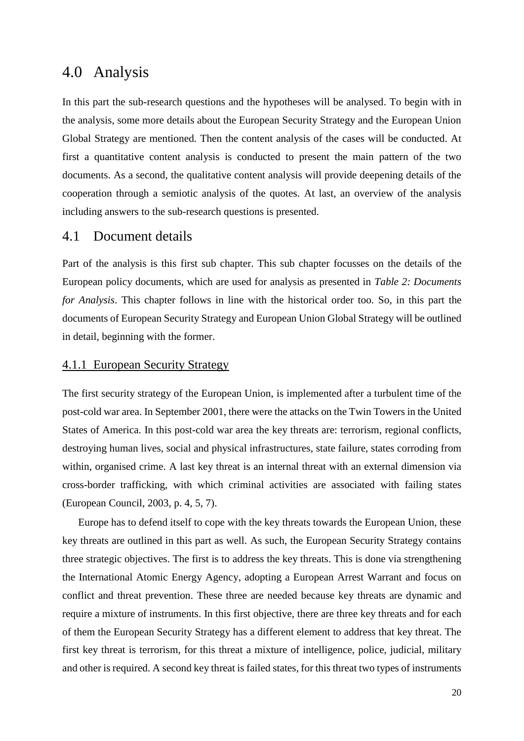# <span id="page-21-0"></span>4.0 Analysis

In this part the sub-research questions and the hypotheses will be analysed. To begin with in the analysis, some more details about the European Security Strategy and the European Union Global Strategy are mentioned. Then the content analysis of the cases will be conducted. At first a quantitative content analysis is conducted to present the main pattern of the two documents. As a second, the qualitative content analysis will provide deepening details of the cooperation through a semiotic analysis of the quotes. At last, an overview of the analysis including answers to the sub-research questions is presented.

#### <span id="page-21-1"></span>4.1 Document details

Part of the analysis is this first sub chapter. This sub chapter focusses on the details of the European policy documents, which are used for analysis as presented in *Table 2: Documents for Analysis*. This chapter follows in line with the historical order too. So, in this part the documents of European Security Strategy and European Union Global Strategy will be outlined in detail, beginning with the former.

#### <span id="page-21-2"></span>4.1.1 European Security Strategy

The first security strategy of the European Union, is implemented after a turbulent time of the post-cold war area. In September 2001, there were the attacks on the Twin Towers in the United States of America. In this post-cold war area the key threats are: terrorism, regional conflicts, destroying human lives, social and physical infrastructures, state failure, states corroding from within, organised crime. A last key threat is an internal threat with an external dimension via cross-border trafficking, with which criminal activities are associated with failing states (European Council, 2003, p. 4, 5, 7).

Europe has to defend itself to cope with the key threats towards the European Union, these key threats are outlined in this part as well. As such, the European Security Strategy contains three strategic objectives. The first is to address the key threats. This is done via strengthening the International Atomic Energy Agency, adopting a European Arrest Warrant and focus on conflict and threat prevention. These three are needed because key threats are dynamic and require a mixture of instruments. In this first objective, there are three key threats and for each of them the European Security Strategy has a different element to address that key threat. The first key threat is terrorism, for this threat a mixture of intelligence, police, judicial, military and other is required. A second key threat is failed states, for this threat two types of instruments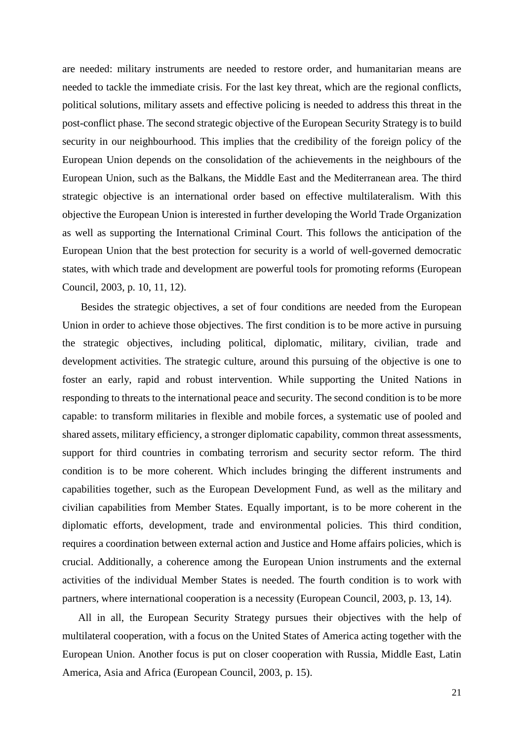are needed: military instruments are needed to restore order, and humanitarian means are needed to tackle the immediate crisis. For the last key threat, which are the regional conflicts, political solutions, military assets and effective policing is needed to address this threat in the post-conflict phase. The second strategic objective of the European Security Strategy is to build security in our neighbourhood. This implies that the credibility of the foreign policy of the European Union depends on the consolidation of the achievements in the neighbours of the European Union, such as the Balkans, the Middle East and the Mediterranean area. The third strategic objective is an international order based on effective multilateralism. With this objective the European Union is interested in further developing the World Trade Organization as well as supporting the International Criminal Court. This follows the anticipation of the European Union that the best protection for security is a world of well-governed democratic states, with which trade and development are powerful tools for promoting reforms (European Council, 2003, p. 10, 11, 12).

Besides the strategic objectives, a set of four conditions are needed from the European Union in order to achieve those objectives. The first condition is to be more active in pursuing the strategic objectives, including political, diplomatic, military, civilian, trade and development activities. The strategic culture, around this pursuing of the objective is one to foster an early, rapid and robust intervention. While supporting the United Nations in responding to threats to the international peace and security. The second condition is to be more capable: to transform militaries in flexible and mobile forces, a systematic use of pooled and shared assets, military efficiency, a stronger diplomatic capability, common threat assessments, support for third countries in combating terrorism and security sector reform. The third condition is to be more coherent. Which includes bringing the different instruments and capabilities together, such as the European Development Fund, as well as the military and civilian capabilities from Member States. Equally important, is to be more coherent in the diplomatic efforts, development, trade and environmental policies. This third condition, requires a coordination between external action and Justice and Home affairs policies, which is crucial. Additionally, a coherence among the European Union instruments and the external activities of the individual Member States is needed. The fourth condition is to work with partners, where international cooperation is a necessity (European Council, 2003, p. 13, 14).

All in all, the European Security Strategy pursues their objectives with the help of multilateral cooperation, with a focus on the United States of America acting together with the European Union. Another focus is put on closer cooperation with Russia, Middle East, Latin America, Asia and Africa (European Council, 2003, p. 15).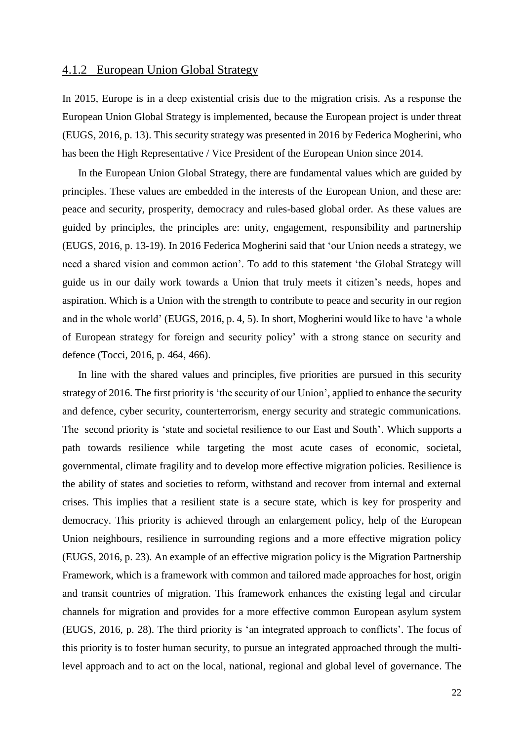#### <span id="page-23-0"></span>4.1.2 European Union Global Strategy

In 2015, Europe is in a deep existential crisis due to the migration crisis. As a response the European Union Global Strategy is implemented, because the European project is under threat (EUGS, 2016, p. 13). This security strategy was presented in 2016 by Federica Mogherini, who has been the High Representative / Vice President of the European Union since 2014.

In the European Union Global Strategy, there are fundamental values which are guided by principles. These values are embedded in the interests of the European Union, and these are: peace and security, prosperity, democracy and rules-based global order. As these values are guided by principles, the principles are: unity, engagement, responsibility and partnership (EUGS, 2016, p. 13-19). In 2016 Federica Mogherini said that 'our Union needs a strategy, we need a shared vision and common action'. To add to this statement 'the Global Strategy will guide us in our daily work towards a Union that truly meets it citizen's needs, hopes and aspiration. Which is a Union with the strength to contribute to peace and security in our region and in the whole world' (EUGS, 2016, p. 4, 5). In short, Mogherini would like to have 'a whole of European strategy for foreign and security policy' with a strong stance on security and defence (Tocci, 2016, p. 464, 466).

In line with the shared values and principles, five priorities are pursued in this security strategy of 2016. The first priority is 'the security of our Union', applied to enhance the security and defence, cyber security, counterterrorism, energy security and strategic communications. The second priority is 'state and societal resilience to our East and South'. Which supports a path towards resilience while targeting the most acute cases of economic, societal, governmental, climate fragility and to develop more effective migration policies. Resilience is the ability of states and societies to reform, withstand and recover from internal and external crises. This implies that a resilient state is a secure state, which is key for prosperity and democracy. This priority is achieved through an enlargement policy, help of the European Union neighbours, resilience in surrounding regions and a more effective migration policy (EUGS, 2016, p. 23). An example of an effective migration policy is the Migration Partnership Framework, which is a framework with common and tailored made approaches for host, origin and transit countries of migration. This framework enhances the existing legal and circular channels for migration and provides for a more effective common European asylum system (EUGS, 2016, p. 28). The third priority is 'an integrated approach to conflicts'. The focus of this priority is to foster human security, to pursue an integrated approached through the multilevel approach and to act on the local, national, regional and global level of governance. The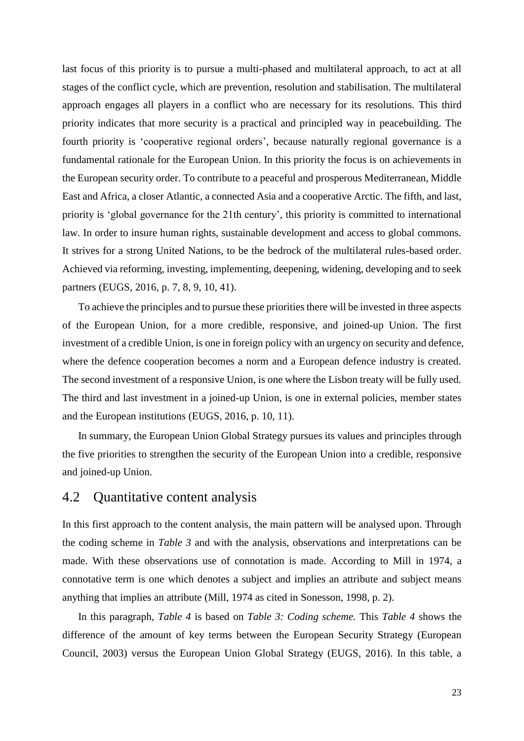last focus of this priority is to pursue a multi-phased and multilateral approach, to act at all stages of the conflict cycle, which are prevention, resolution and stabilisation. The multilateral approach engages all players in a conflict who are necessary for its resolutions. This third priority indicates that more security is a practical and principled way in peacebuilding. The fourth priority is 'cooperative regional orders', because naturally regional governance is a fundamental rationale for the European Union. In this priority the focus is on achievements in the European security order. To contribute to a peaceful and prosperous Mediterranean, Middle East and Africa, a closer Atlantic, a connected Asia and a cooperative Arctic. The fifth, and last, priority is 'global governance for the 21th century', this priority is committed to international law. In order to insure human rights, sustainable development and access to global commons. It strives for a strong United Nations, to be the bedrock of the multilateral rules-based order. Achieved via reforming, investing, implementing, deepening, widening, developing and to seek partners (EUGS, 2016, p. 7, 8, 9, 10, 41).

To achieve the principles and to pursue these priorities there will be invested in three aspects of the European Union, for a more credible, responsive, and joined-up Union. The first investment of a credible Union, is one in foreign policy with an urgency on security and defence, where the defence cooperation becomes a norm and a European defence industry is created. The second investment of a responsive Union, is one where the Lisbon treaty will be fully used. The third and last investment in a joined-up Union, is one in external policies, member states and the European institutions (EUGS, 2016, p. 10, 11).

In summary, the European Union Global Strategy pursues its values and principles through the five priorities to strengthen the security of the European Union into a credible, responsive and joined-up Union.

#### <span id="page-24-0"></span>4.2 Quantitative content analysis

In this first approach to the content analysis, the main pattern will be analysed upon. Through the coding scheme in *Table 3* and with the analysis, observations and interpretations can be made. With these observations use of connotation is made. According to Mill in 1974, a connotative term is one which denotes a subject and implies an attribute and subject means anything that implies an attribute (Mill, 1974 as cited in Sonesson, 1998, p. 2).

In this paragraph, *Table 4* is based on *Table 3: Coding scheme.* This *Table 4* shows the difference of the amount of key terms between the European Security Strategy (European Council, 2003) versus the European Union Global Strategy (EUGS, 2016). In this table, a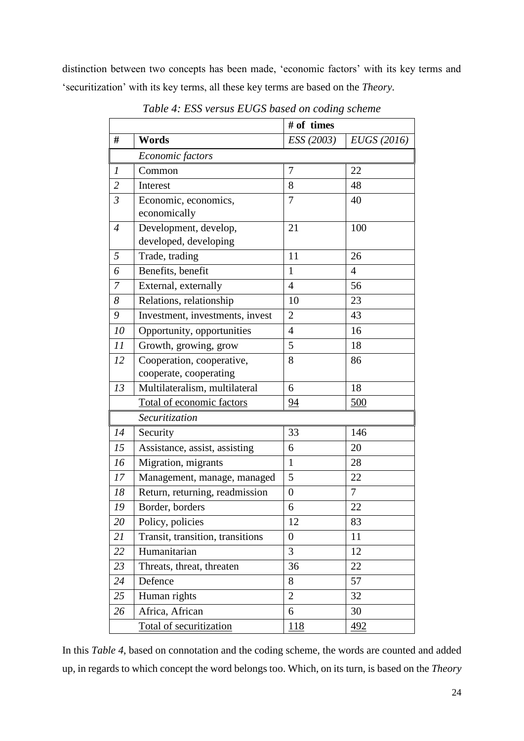<span id="page-25-0"></span>distinction between two concepts has been made, 'economic factors' with its key terms and 'securitization' with its key terms, all these key terms are based on the *Theory*.

|                |                                  | # of times     |                |
|----------------|----------------------------------|----------------|----------------|
| #              | Words                            | ESS (2003)     | EUGS (2016)    |
|                | Economic factors                 |                |                |
| 1              | Common                           | $\overline{7}$ | 22             |
| $\overline{2}$ | Interest                         | 8              | 48             |
| $\mathfrak{Z}$ | Economic, economics,             | 7              | 40             |
|                | economically                     |                |                |
| $\overline{4}$ | Development, develop,            | 21             | 100            |
|                | developed, developing            |                |                |
| 5              | Trade, trading                   | 11             | 26             |
| 6              | Benefits, benefit                | 1              | 4              |
| 7              | External, externally             | $\overline{4}$ | 56             |
| 8              | Relations, relationship          | 10             | 23             |
| 9              | Investment, investments, invest  | $\overline{2}$ | 43             |
| 10             | Opportunity, opportunities       | $\overline{4}$ | 16             |
| 11             | Growth, growing, grow            | 5              | 18             |
| 12             | Cooperation, cooperative,        | 8              | 86             |
|                | cooperate, cooperating           |                |                |
| 13             | Multilateralism, multilateral    | 6              | 18             |
|                | Total of economic factors        | 94             | 500            |
|                | Securitization                   |                |                |
| 14             | Security                         | 33             | 146            |
| 15             | Assistance, assist, assisting    | 6              | 20             |
| 16             | Migration, migrants              | $\mathbf{1}$   | 28             |
| 17             | Management, manage, managed      | 5              | 22             |
| 18             | Return, returning, readmission   | 0              | $\overline{7}$ |
| 19             | Border, borders                  | 6              | 22             |
| 20             | Policy, policies                 | 12             | 83             |
| 21             | Transit, transition, transitions | 0              | 11             |
| 22             | Humanitarian                     | 3              | 12             |
| 23             | Threats, threat, threaten        | 36             | 22             |
| 24             | Defence                          | 8              | 57             |
| 25             | Human rights                     | 2              | 32             |
| 26             | Africa, African                  | 6              | 30             |
|                | Total of securitization          | <u>118</u>     | <u>492</u>     |

*Table 4: ESS versus EUGS based on coding scheme*

In this *Table 4*, based on connotation and the coding scheme, the words are counted and added up, in regards to which concept the word belongs too. Which, on its turn, is based on the *Theory*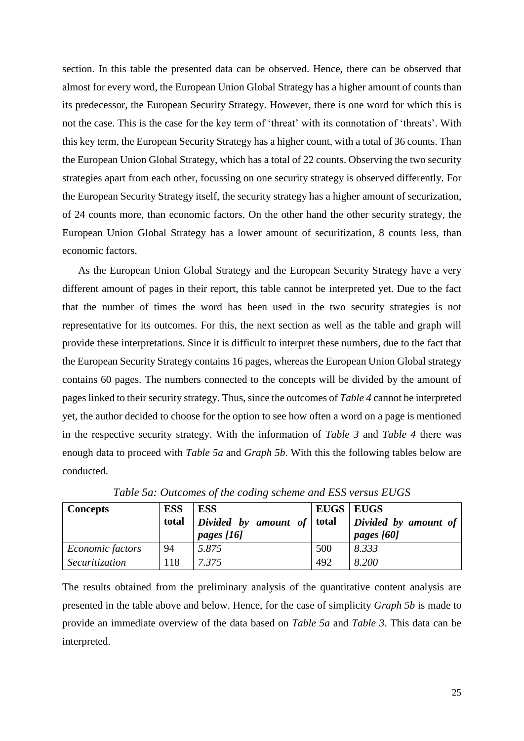section. In this table the presented data can be observed. Hence, there can be observed that almost for every word, the European Union Global Strategy has a higher amount of counts than its predecessor, the European Security Strategy. However, there is one word for which this is not the case. This is the case for the key term of 'threat' with its connotation of 'threats'. With this key term, the European Security Strategy has a higher count, with a total of 36 counts. Than the European Union Global Strategy, which has a total of 22 counts. Observing the two security strategies apart from each other, focussing on one security strategy is observed differently. For the European Security Strategy itself, the security strategy has a higher amount of securization, of 24 counts more, than economic factors. On the other hand the other security strategy, the European Union Global Strategy has a lower amount of securitization, 8 counts less, than economic factors.

As the European Union Global Strategy and the European Security Strategy have a very different amount of pages in their report, this table cannot be interpreted yet. Due to the fact that the number of times the word has been used in the two security strategies is not representative for its outcomes. For this, the next section as well as the table and graph will provide these interpretations. Since it is difficult to interpret these numbers, due to the fact that the European Security Strategy contains 16 pages, whereas the European Union Global strategy contains 60 pages. The numbers connected to the concepts will be divided by the amount of pages linked to their security strategy. Thus, since the outcomes of *Table 4* cannot be interpreted yet, the author decided to choose for the option to see how often a word on a page is mentioned in the respective security strategy. With the information of *Table 3* and *Table 4* there was enough data to proceed with *Table 5a* and *Graph 5b*. With this the following tables below are conducted.

<span id="page-26-0"></span>

| <b>Concepts</b>  | <b>ESS</b><br>total | <b>ESS</b><br>Divided by amount of total<br>pages $[16]$ | <b>EUGS</b>   EUGS | Divided by amount of<br>pages [60] |
|------------------|---------------------|----------------------------------------------------------|--------------------|------------------------------------|
| Economic factors | 94                  | 5.875                                                    | 500                | 8.333                              |
| Securitization   | 118                 | 7.375                                                    | 492                | 8.200                              |

*Table 5a: Outcomes of the coding scheme and ESS versus EUGS*

The results obtained from the preliminary analysis of the quantitative content analysis are presented in the table above and below. Hence, for the case of simplicity *Graph 5b* is made to provide an immediate overview of the data based on *Table 5a* and *Table 3*. This data can be interpreted.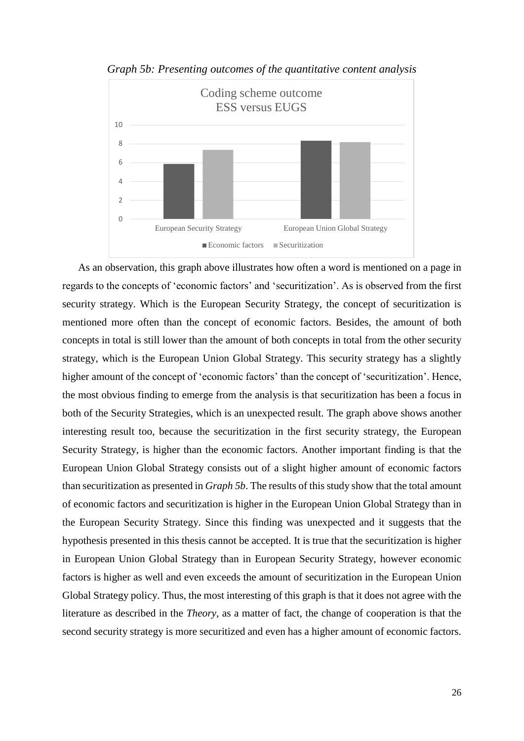<span id="page-27-0"></span>

*Graph 5b: Presenting outcomes of the quantitative content analysis*

As an observation, this graph above illustrates how often a word is mentioned on a page in regards to the concepts of 'economic factors' and 'securitization'. As is observed from the first security strategy. Which is the European Security Strategy, the concept of securitization is mentioned more often than the concept of economic factors. Besides, the amount of both concepts in total is still lower than the amount of both concepts in total from the other security strategy, which is the European Union Global Strategy. This security strategy has a slightly higher amount of the concept of 'economic factors' than the concept of 'securitization'. Hence, the most obvious finding to emerge from the analysis is that securitization has been a focus in both of the Security Strategies, which is an unexpected result. The graph above shows another interesting result too, because the securitization in the first security strategy, the European Security Strategy, is higher than the economic factors. Another important finding is that the European Union Global Strategy consists out of a slight higher amount of economic factors than securitization as presented in *Graph 5b*. The results of this study show that the total amount of economic factors and securitization is higher in the European Union Global Strategy than in the European Security Strategy. Since this finding was unexpected and it suggests that the hypothesis presented in this thesis cannot be accepted. It is true that the securitization is higher in European Union Global Strategy than in European Security Strategy, however economic factors is higher as well and even exceeds the amount of securitization in the European Union Global Strategy policy. Thus, the most interesting of this graph is that it does not agree with the literature as described in the *Theory*, as a matter of fact, the change of cooperation is that the second security strategy is more securitized and even has a higher amount of economic factors.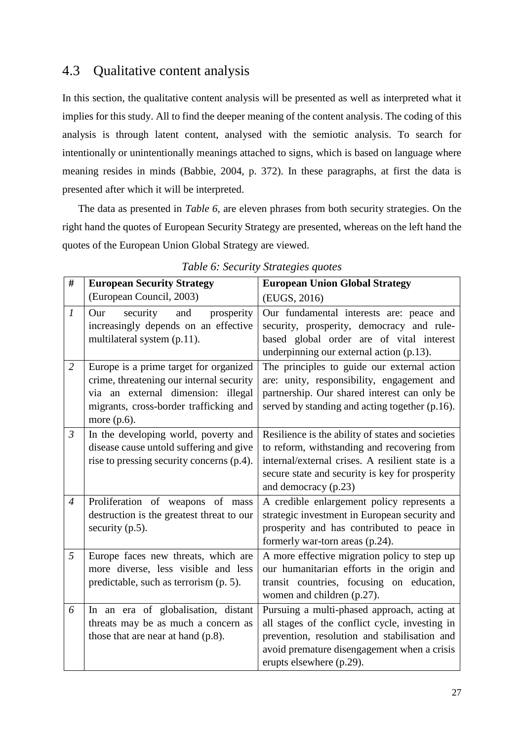# <span id="page-28-1"></span>4.3 Qualitative content analysis

In this section, the qualitative content analysis will be presented as well as interpreted what it implies for this study. All to find the deeper meaning of the content analysis. The coding of this analysis is through latent content, analysed with the semiotic analysis. To search for intentionally or unintentionally meanings attached to signs, which is based on language where meaning resides in minds (Babbie, 2004, p. 372). In these paragraphs, at first the data is presented after which it will be interpreted.

The data as presented in *Table 6*, are eleven phrases from both security strategies. On the right hand the quotes of European Security Strategy are presented, whereas on the left hand the quotes of the European Union Global Strategy are viewed.

<span id="page-28-0"></span>

| #              | <b>European Security Strategy</b>                                                                                                                                                    | <b>European Union Global Strategy</b>                                                                                                                                                                                           |
|----------------|--------------------------------------------------------------------------------------------------------------------------------------------------------------------------------------|---------------------------------------------------------------------------------------------------------------------------------------------------------------------------------------------------------------------------------|
|                | (European Council, 2003)                                                                                                                                                             | (EUGS, 2016)                                                                                                                                                                                                                    |
| $\mathcal{I}$  | security<br>and<br>prosperity<br>Our<br>increasingly depends on an effective<br>multilateral system (p.11).                                                                          | Our fundamental interests are: peace and<br>security, prosperity, democracy and rule-<br>based global order are of vital interest<br>underpinning our external action (p.13).                                                   |
| $\overline{2}$ | Europe is a prime target for organized<br>crime, threatening our internal security<br>via an external dimension: illegal<br>migrants, cross-border trafficking and<br>more $(p.6)$ . | The principles to guide our external action<br>are: unity, responsibility, engagement and<br>partnership. Our shared interest can only be<br>served by standing and acting together (p.16).                                     |
| $\mathfrak{Z}$ | In the developing world, poverty and<br>disease cause untold suffering and give<br>rise to pressing security concerns (p.4).                                                         | Resilience is the ability of states and societies<br>to reform, withstanding and recovering from<br>internal/external crises. A resilient state is a<br>secure state and security is key for prosperity<br>and democracy (p.23) |
| $\overline{4}$ | Proliferation of weapons of mass<br>destruction is the greatest threat to our<br>security (p.5).                                                                                     | A credible enlargement policy represents a<br>strategic investment in European security and<br>prosperity and has contributed to peace in<br>formerly war-torn areas (p.24).                                                    |
| 5              | Europe faces new threats, which are<br>more diverse, less visible and less<br>predictable, such as terrorism (p. 5).                                                                 | A more effective migration policy to step up<br>our humanitarian efforts in the origin and<br>transit countries, focusing on education,<br>women and children (p.27).                                                           |
| 6              | In an era of globalisation, distant<br>threats may be as much a concern as<br>those that are near at hand $(p.8)$ .                                                                  | Pursuing a multi-phased approach, acting at<br>all stages of the conflict cycle, investing in<br>prevention, resolution and stabilisation and<br>avoid premature disengagement when a crisis<br>erupts elsewhere (p.29).        |

*Table 6: Security Strategies quotes*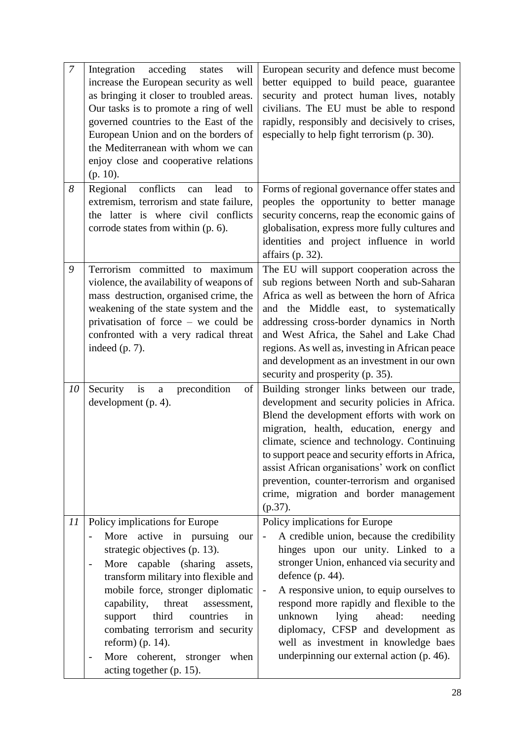| $\overline{7}$ | Integration<br>acceding<br>will<br>states<br>increase the European security as well<br>as bringing it closer to troubled areas.<br>Our tasks is to promote a ring of well<br>governed countries to the East of the<br>European Union and on the borders of<br>the Mediterranean with whom we can<br>enjoy close and cooperative relations<br>$(p. 10)$ .                                                                                                                                                        | European security and defence must become<br>better equipped to build peace, guarantee<br>security and protect human lives, notably<br>civilians. The EU must be able to respond<br>rapidly, responsibly and decisively to crises,<br>especially to help fight terrorism (p. 30).                                                                                                                                                                                                                       |
|----------------|-----------------------------------------------------------------------------------------------------------------------------------------------------------------------------------------------------------------------------------------------------------------------------------------------------------------------------------------------------------------------------------------------------------------------------------------------------------------------------------------------------------------|---------------------------------------------------------------------------------------------------------------------------------------------------------------------------------------------------------------------------------------------------------------------------------------------------------------------------------------------------------------------------------------------------------------------------------------------------------------------------------------------------------|
| 8              | Regional<br>conflicts<br>lead<br>can<br>to<br>extremism, terrorism and state failure,<br>the latter is where civil conflicts<br>corrode states from within (p. 6).                                                                                                                                                                                                                                                                                                                                              | Forms of regional governance offer states and<br>peoples the opportunity to better manage<br>security concerns, reap the economic gains of<br>globalisation, express more fully cultures and<br>identities and project influence in world<br>affairs $(p. 32)$ .                                                                                                                                                                                                                                        |
| 9              | Terrorism committed to maximum<br>violence, the availability of weapons of<br>mass destruction, organised crime, the<br>weakening of the state system and the<br>privatisation of force - we could be<br>confronted with a very radical threat<br>indeed $(p. 7)$ .                                                                                                                                                                                                                                             | The EU will support cooperation across the<br>sub regions between North and sub-Saharan<br>Africa as well as between the horn of Africa<br>and the Middle east, to systematically<br>addressing cross-border dynamics in North<br>and West Africa, the Sahel and Lake Chad<br>regions. As well as, investing in African peace<br>and development as an investment in our own<br>security and prosperity (p. 35).                                                                                        |
| 10             | Security<br>precondition<br>is<br>of<br>$\rm{a}$<br>development (p. 4).                                                                                                                                                                                                                                                                                                                                                                                                                                         | Building stronger links between our trade,<br>development and security policies in Africa.<br>Blend the development efforts with work on<br>migration, health, education, energy and<br>climate, science and technology. Continuing<br>to support peace and security efforts in Africa,<br>assist African organisations' work on conflict<br>prevention, counter-terrorism and organised<br>crime, migration and border management<br>$(p.37)$ .                                                        |
| II             | Policy implications for Europe<br>More active in pursuing<br>our<br>$\overline{\phantom{0}}$<br>strategic objectives (p. 13).<br>capable (sharing<br>More<br>assets,<br>$\overline{\phantom{0}}$<br>transform military into flexible and<br>mobile force, stronger diplomatic<br>capability,<br>threat<br>assessment,<br>third<br>support<br>countries<br>in<br>combating terrorism and security<br>reform) (p. 14).<br>More coherent, stronger<br>when<br>$\overline{\phantom{0}}$<br>acting together (p. 15). | Policy implications for Europe<br>A credible union, because the credibility<br>$\overline{\phantom{0}}$<br>hinges upon our unity. Linked to a<br>stronger Union, enhanced via security and<br>defence (p. 44).<br>A responsive union, to equip ourselves to<br>$\overline{\phantom{0}}$<br>respond more rapidly and flexible to the<br>unknown<br>lying<br>ahead:<br>needing<br>diplomacy, CFSP and development as<br>well as investment in knowledge baes<br>underpinning our external action (p. 46). |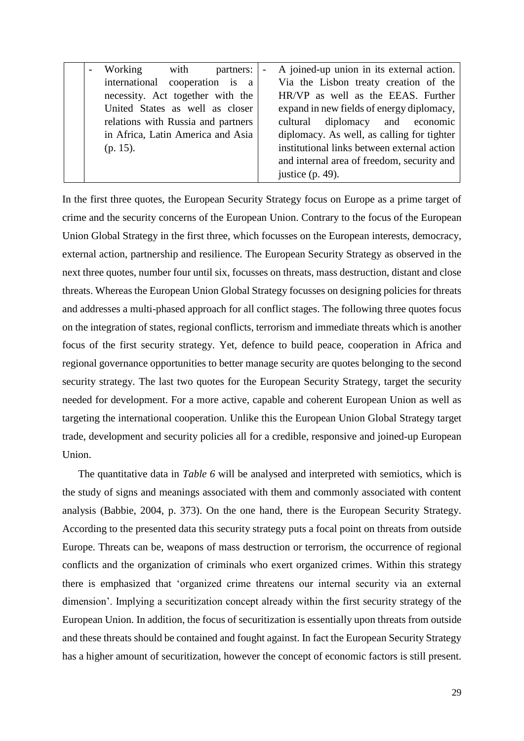| Working with<br>partners:          | - A joined-up union in its external action. |
|------------------------------------|---------------------------------------------|
| international cooperation is a     | Via the Lisbon treaty creation of the       |
| necessity. Act together with the   | HR/VP as well as the EEAS. Further          |
| United States as well as closer    | expand in new fields of energy diplomacy,   |
| relations with Russia and partners | cultural diplomacy and economic             |
| in Africa, Latin America and Asia  | diplomacy. As well, as calling for tighter  |
| $(p. 15)$ .                        | institutional links between external action |
|                                    | and internal area of freedom, security and  |
|                                    | justice $(p. 49)$ .                         |

In the first three quotes, the European Security Strategy focus on Europe as a prime target of crime and the security concerns of the European Union. Contrary to the focus of the European Union Global Strategy in the first three, which focusses on the European interests, democracy, external action, partnership and resilience. The European Security Strategy as observed in the next three quotes, number four until six, focusses on threats, mass destruction, distant and close threats. Whereas the European Union Global Strategy focusses on designing policies for threats and addresses a multi-phased approach for all conflict stages. The following three quotes focus on the integration of states, regional conflicts, terrorism and immediate threats which is another focus of the first security strategy. Yet, defence to build peace, cooperation in Africa and regional governance opportunities to better manage security are quotes belonging to the second security strategy. The last two quotes for the European Security Strategy, target the security needed for development. For a more active, capable and coherent European Union as well as targeting the international cooperation. Unlike this the European Union Global Strategy target trade, development and security policies all for a credible, responsive and joined-up European Union.

The quantitative data in *Table 6* will be analysed and interpreted with semiotics, which is the study of signs and meanings associated with them and commonly associated with content analysis (Babbie, 2004, p. 373). On the one hand, there is the European Security Strategy. According to the presented data this security strategy puts a focal point on threats from outside Europe. Threats can be, weapons of mass destruction or terrorism, the occurrence of regional conflicts and the organization of criminals who exert organized crimes. Within this strategy there is emphasized that 'organized crime threatens our internal security via an external dimension'. Implying a securitization concept already within the first security strategy of the European Union. In addition, the focus of securitization is essentially upon threats from outside and these threats should be contained and fought against. In fact the European Security Strategy has a higher amount of securitization, however the concept of economic factors is still present.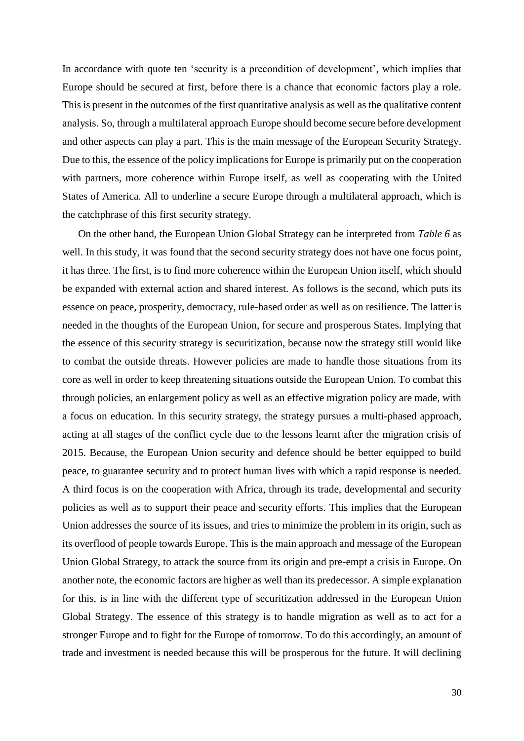In accordance with quote ten 'security is a precondition of development', which implies that Europe should be secured at first, before there is a chance that economic factors play a role. This is present in the outcomes of the first quantitative analysis as well as the qualitative content analysis. So, through a multilateral approach Europe should become secure before development and other aspects can play a part. This is the main message of the European Security Strategy. Due to this, the essence of the policy implications for Europe is primarily put on the cooperation with partners, more coherence within Europe itself, as well as cooperating with the United States of America. All to underline a secure Europe through a multilateral approach, which is the catchphrase of this first security strategy.

On the other hand, the European Union Global Strategy can be interpreted from *Table 6* as well. In this study, it was found that the second security strategy does not have one focus point, it has three. The first, is to find more coherence within the European Union itself, which should be expanded with external action and shared interest. As follows is the second, which puts its essence on peace, prosperity, democracy, rule-based order as well as on resilience. The latter is needed in the thoughts of the European Union, for secure and prosperous States. Implying that the essence of this security strategy is securitization, because now the strategy still would like to combat the outside threats. However policies are made to handle those situations from its core as well in order to keep threatening situations outside the European Union. To combat this through policies, an enlargement policy as well as an effective migration policy are made, with a focus on education. In this security strategy, the strategy pursues a multi-phased approach, acting at all stages of the conflict cycle due to the lessons learnt after the migration crisis of 2015. Because, the European Union security and defence should be better equipped to build peace, to guarantee security and to protect human lives with which a rapid response is needed. A third focus is on the cooperation with Africa, through its trade, developmental and security policies as well as to support their peace and security efforts. This implies that the European Union addresses the source of its issues, and tries to minimize the problem in its origin, such as its overflood of people towards Europe. This is the main approach and message of the European Union Global Strategy, to attack the source from its origin and pre-empt a crisis in Europe. On another note, the economic factors are higher as well than its predecessor. A simple explanation for this, is in line with the different type of securitization addressed in the European Union Global Strategy. The essence of this strategy is to handle migration as well as to act for a stronger Europe and to fight for the Europe of tomorrow. To do this accordingly, an amount of trade and investment is needed because this will be prosperous for the future. It will declining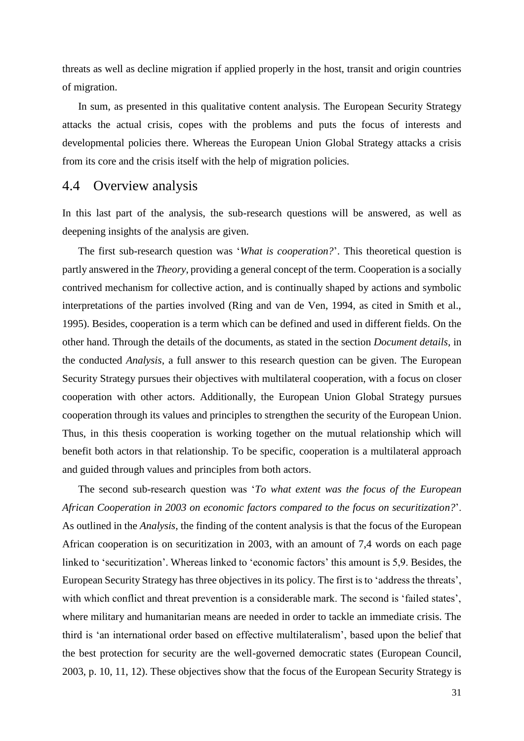threats as well as decline migration if applied properly in the host, transit and origin countries of migration.

In sum, as presented in this qualitative content analysis. The European Security Strategy attacks the actual crisis, copes with the problems and puts the focus of interests and developmental policies there. Whereas the European Union Global Strategy attacks a crisis from its core and the crisis itself with the help of migration policies.

#### <span id="page-32-0"></span>4.4 Overview analysis

In this last part of the analysis, the sub-research questions will be answered, as well as deepening insights of the analysis are given.

The first sub-research question was '*What is cooperation?*'. This theoretical question is partly answered in the *Theory*, providing a general concept of the term. Cooperation is a socially contrived mechanism for collective action, and is continually shaped by actions and symbolic interpretations of the parties involved (Ring and van de Ven, 1994, as cited in Smith et al., 1995). Besides, cooperation is a term which can be defined and used in different fields. On the other hand. Through the details of the documents, as stated in the section *Document details*, in the conducted *Analysis*, a full answer to this research question can be given. The European Security Strategy pursues their objectives with multilateral cooperation, with a focus on closer cooperation with other actors. Additionally, the European Union Global Strategy pursues cooperation through its values and principles to strengthen the security of the European Union. Thus, in this thesis cooperation is working together on the mutual relationship which will benefit both actors in that relationship. To be specific, cooperation is a multilateral approach and guided through values and principles from both actors.

The second sub-research question was '*To what extent was the focus of the European African Cooperation in 2003 on economic factors compared to the focus on securitization?*'. As outlined in the *Analysis*, the finding of the content analysis is that the focus of the European African cooperation is on securitization in 2003, with an amount of 7,4 words on each page linked to 'securitization'. Whereas linked to 'economic factors' this amount is 5,9. Besides, the European Security Strategy has three objectives in its policy. The first is to 'address the threats', with which conflict and threat prevention is a considerable mark. The second is 'failed states', where military and humanitarian means are needed in order to tackle an immediate crisis. The third is 'an international order based on effective multilateralism', based upon the belief that the best protection for security are the well-governed democratic states (European Council, 2003, p. 10, 11, 12). These objectives show that the focus of the European Security Strategy is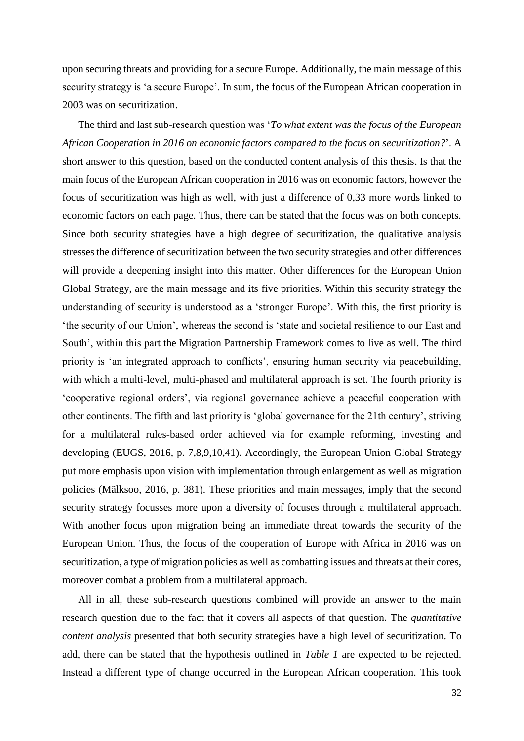upon securing threats and providing for a secure Europe. Additionally, the main message of this security strategy is 'a secure Europe'. In sum, the focus of the European African cooperation in 2003 was on securitization.

The third and last sub-research question was '*To what extent was the focus of the European African Cooperation in 2016 on economic factors compared to the focus on securitization?*'. A short answer to this question, based on the conducted content analysis of this thesis. Is that the main focus of the European African cooperation in 2016 was on economic factors, however the focus of securitization was high as well, with just a difference of 0,33 more words linked to economic factors on each page. Thus, there can be stated that the focus was on both concepts. Since both security strategies have a high degree of securitization, the qualitative analysis stressesthe difference of securitization between the two security strategies and other differences will provide a deepening insight into this matter. Other differences for the European Union Global Strategy, are the main message and its five priorities. Within this security strategy the understanding of security is understood as a 'stronger Europe'. With this, the first priority is 'the security of our Union', whereas the second is 'state and societal resilience to our East and South', within this part the Migration Partnership Framework comes to live as well. The third priority is 'an integrated approach to conflicts', ensuring human security via peacebuilding, with which a multi-level, multi-phased and multilateral approach is set. The fourth priority is 'cooperative regional orders', via regional governance achieve a peaceful cooperation with other continents. The fifth and last priority is 'global governance for the 21th century', striving for a multilateral rules-based order achieved via for example reforming, investing and developing (EUGS, 2016, p. 7,8,9,10,41). Accordingly, the European Union Global Strategy put more emphasis upon vision with implementation through enlargement as well as migration policies (Mälksoo, 2016, p. 381). These priorities and main messages, imply that the second security strategy focusses more upon a diversity of focuses through a multilateral approach. With another focus upon migration being an immediate threat towards the security of the European Union. Thus, the focus of the cooperation of Europe with Africa in 2016 was on securitization, a type of migration policies as well as combatting issues and threats at their cores, moreover combat a problem from a multilateral approach.

All in all, these sub-research questions combined will provide an answer to the main research question due to the fact that it covers all aspects of that question. The *quantitative content analysis* presented that both security strategies have a high level of securitization. To add, there can be stated that the hypothesis outlined in *Table 1* are expected to be rejected. Instead a different type of change occurred in the European African cooperation. This took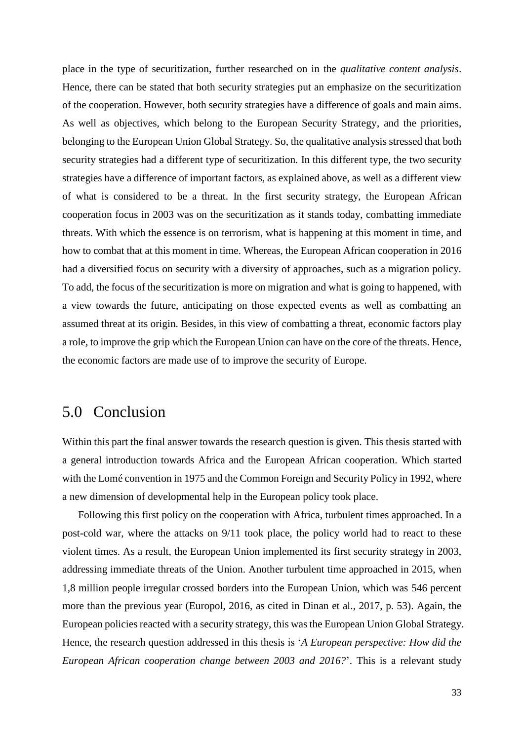place in the type of securitization, further researched on in the *qualitative content analysis*. Hence, there can be stated that both security strategies put an emphasize on the securitization of the cooperation. However, both security strategies have a difference of goals and main aims. As well as objectives, which belong to the European Security Strategy, and the priorities, belonging to the European Union Global Strategy. So, the qualitative analysis stressed that both security strategies had a different type of securitization. In this different type, the two security strategies have a difference of important factors, as explained above, as well as a different view of what is considered to be a threat. In the first security strategy, the European African cooperation focus in 2003 was on the securitization as it stands today, combatting immediate threats. With which the essence is on terrorism, what is happening at this moment in time, and how to combat that at this moment in time. Whereas, the European African cooperation in 2016 had a diversified focus on security with a diversity of approaches, such as a migration policy. To add, the focus of the securitization is more on migration and what is going to happened, with a view towards the future, anticipating on those expected events as well as combatting an assumed threat at its origin. Besides, in this view of combatting a threat, economic factors play a role, to improve the grip which the European Union can have on the core of the threats. Hence, the economic factors are made use of to improve the security of Europe.

# <span id="page-34-0"></span>5.0 Conclusion

Within this part the final answer towards the research question is given. This thesis started with a general introduction towards Africa and the European African cooperation. Which started with the Lomé convention in 1975 and the Common Foreign and Security Policy in 1992, where a new dimension of developmental help in the European policy took place.

Following this first policy on the cooperation with Africa, turbulent times approached. In a post-cold war, where the attacks on 9/11 took place, the policy world had to react to these violent times. As a result, the European Union implemented its first security strategy in 2003, addressing immediate threats of the Union. Another turbulent time approached in 2015, when 1,8 million people irregular crossed borders into the European Union, which was 546 percent more than the previous year (Europol, 2016, as cited in Dinan et al., 2017, p. 53). Again, the European policies reacted with a security strategy, this was the European Union Global Strategy. Hence, the research question addressed in this thesis is '*A European perspective: How did the European African cooperation change between 2003 and 2016?*'. This is a relevant study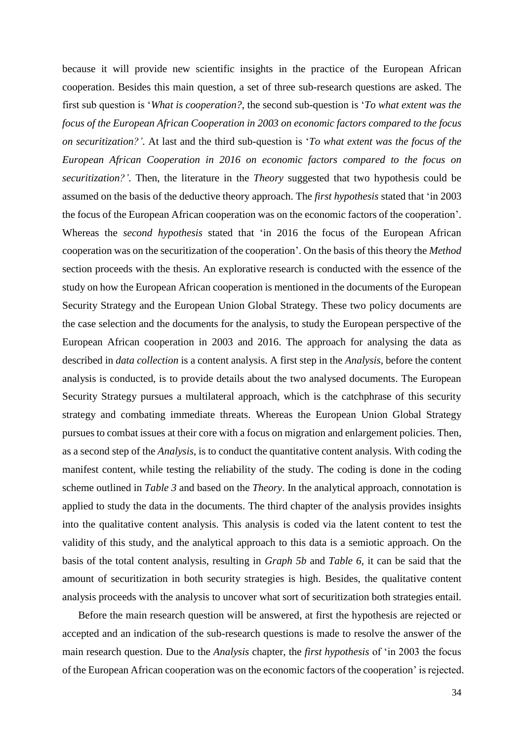because it will provide new scientific insights in the practice of the European African cooperation. Besides this main question, a set of three sub-research questions are asked. The first sub question is '*What is cooperation?*, the second sub-question is '*To what extent was the focus of the European African Cooperation in 2003 on economic factors compared to the focus on securitization?'*. At last and the third sub-question is '*To what extent was the focus of the European African Cooperation in 2016 on economic factors compared to the focus on securitization?'*. Then, the literature in the *Theory* suggested that two hypothesis could be assumed on the basis of the deductive theory approach. The *first hypothesis* stated that 'in 2003 the focus of the European African cooperation was on the economic factors of the cooperation'. Whereas the *second hypothesis* stated that 'in 2016 the focus of the European African cooperation was on the securitization of the cooperation'. On the basis of this theory the *Method*  section proceeds with the thesis. An explorative research is conducted with the essence of the study on how the European African cooperation is mentioned in the documents of the European Security Strategy and the European Union Global Strategy. These two policy documents are the case selection and the documents for the analysis, to study the European perspective of the European African cooperation in 2003 and 2016. The approach for analysing the data as described in *data collection* is a content analysis. A first step in the *Analysis*, before the content analysis is conducted, is to provide details about the two analysed documents. The European Security Strategy pursues a multilateral approach, which is the catchphrase of this security strategy and combating immediate threats. Whereas the European Union Global Strategy pursues to combat issues at their core with a focus on migration and enlargement policies. Then, as a second step of the *Analysis*, is to conduct the quantitative content analysis. With coding the manifest content, while testing the reliability of the study. The coding is done in the coding scheme outlined in *Table 3* and based on the *Theory*. In the analytical approach, connotation is applied to study the data in the documents. The third chapter of the analysis provides insights into the qualitative content analysis. This analysis is coded via the latent content to test the validity of this study, and the analytical approach to this data is a semiotic approach. On the basis of the total content analysis, resulting in *Graph 5b* and *Table 6*, it can be said that the amount of securitization in both security strategies is high. Besides, the qualitative content analysis proceeds with the analysis to uncover what sort of securitization both strategies entail.

Before the main research question will be answered, at first the hypothesis are rejected or accepted and an indication of the sub-research questions is made to resolve the answer of the main research question. Due to the *Analysis* chapter, the *first hypothesis* of 'in 2003 the focus of the European African cooperation was on the economic factors of the cooperation' is rejected.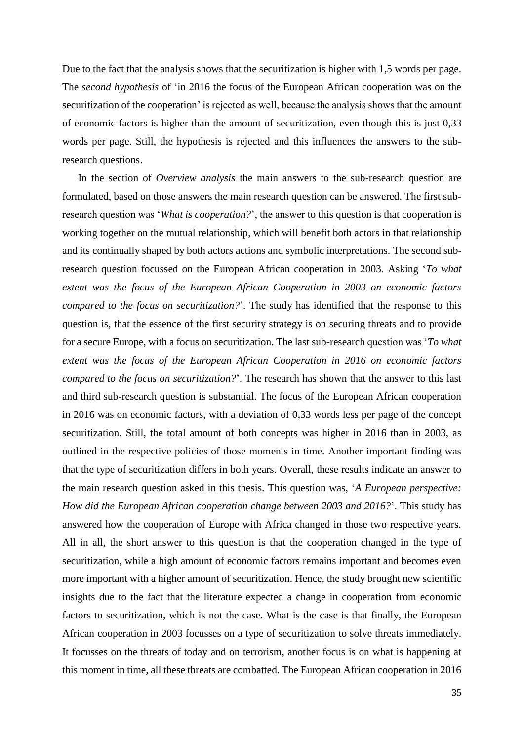Due to the fact that the analysis shows that the securitization is higher with 1,5 words per page. The *second hypothesis* of 'in 2016 the focus of the European African cooperation was on the securitization of the cooperation' is rejected as well, because the analysis shows that the amount of economic factors is higher than the amount of securitization, even though this is just 0,33 words per page. Still, the hypothesis is rejected and this influences the answers to the subresearch questions.

In the section of *Overview analysis* the main answers to the sub-research question are formulated, based on those answers the main research question can be answered. The first subresearch question was '*What is cooperation?*', the answer to this question is that cooperation is working together on the mutual relationship, which will benefit both actors in that relationship and its continually shaped by both actors actions and symbolic interpretations. The second subresearch question focussed on the European African cooperation in 2003. Asking '*To what extent was the focus of the European African Cooperation in 2003 on economic factors compared to the focus on securitization?*'. The study has identified that the response to this question is, that the essence of the first security strategy is on securing threats and to provide for a secure Europe, with a focus on securitization. The last sub-research question was '*To what extent was the focus of the European African Cooperation in 2016 on economic factors compared to the focus on securitization?*'. The research has shown that the answer to this last and third sub-research question is substantial. The focus of the European African cooperation in 2016 was on economic factors, with a deviation of 0,33 words less per page of the concept securitization. Still, the total amount of both concepts was higher in 2016 than in 2003, as outlined in the respective policies of those moments in time. Another important finding was that the type of securitization differs in both years. Overall, these results indicate an answer to the main research question asked in this thesis. This question was, '*A European perspective: How did the European African cooperation change between 2003 and 2016?*'. This study has answered how the cooperation of Europe with Africa changed in those two respective years. All in all, the short answer to this question is that the cooperation changed in the type of securitization, while a high amount of economic factors remains important and becomes even more important with a higher amount of securitization. Hence, the study brought new scientific insights due to the fact that the literature expected a change in cooperation from economic factors to securitization, which is not the case. What is the case is that finally, the European African cooperation in 2003 focusses on a type of securitization to solve threats immediately. It focusses on the threats of today and on terrorism, another focus is on what is happening at this moment in time, all these threats are combatted. The European African cooperation in 2016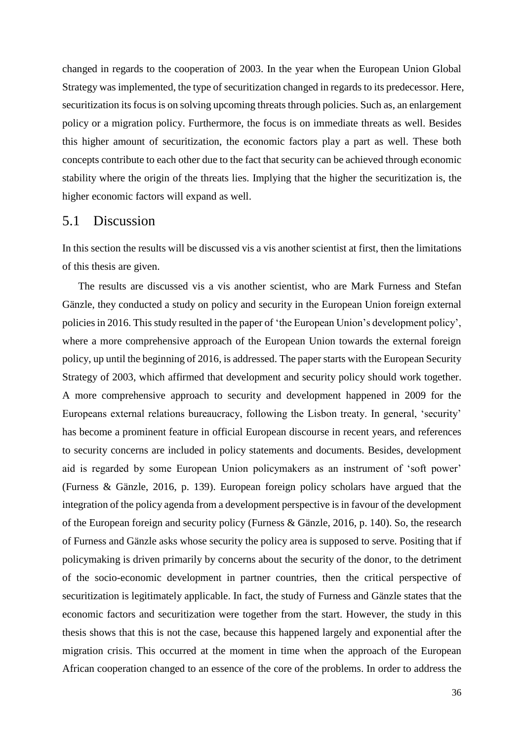changed in regards to the cooperation of 2003. In the year when the European Union Global Strategy was implemented, the type of securitization changed in regards to its predecessor. Here, securitization its focus is on solving upcoming threats through policies. Such as, an enlargement policy or a migration policy. Furthermore, the focus is on immediate threats as well. Besides this higher amount of securitization, the economic factors play a part as well. These both concepts contribute to each other due to the fact that security can be achieved through economic stability where the origin of the threats lies. Implying that the higher the securitization is, the higher economic factors will expand as well.

#### <span id="page-37-0"></span>5.1 Discussion

In this section the results will be discussed vis a vis another scientist at first, then the limitations of this thesis are given.

The results are discussed vis a vis another scientist, who are Mark Furness and Stefan Gänzle, they conducted a study on policy and security in the European Union foreign external policies in 2016. This study resulted in the paper of 'the European Union's development policy', where a more comprehensive approach of the European Union towards the external foreign policy, up until the beginning of 2016, is addressed. The paper starts with the European Security Strategy of 2003, which affirmed that development and security policy should work together. A more comprehensive approach to security and development happened in 2009 for the Europeans external relations bureaucracy, following the Lisbon treaty. In general, 'security' has become a prominent feature in official European discourse in recent years, and references to security concerns are included in policy statements and documents. Besides, development aid is regarded by some European Union policymakers as an instrument of 'soft power' (Furness & Gänzle, 2016, p. 139). European foreign policy scholars have argued that the integration of the policy agenda from a development perspective is in favour of the development of the European foreign and security policy (Furness & Gänzle, 2016, p. 140). So, the research of Furness and Gänzle asks whose security the policy area is supposed to serve. Positing that if policymaking is driven primarily by concerns about the security of the donor, to the detriment of the socio-economic development in partner countries, then the critical perspective of securitization is legitimately applicable. In fact, the study of Furness and Gänzle states that the economic factors and securitization were together from the start. However, the study in this thesis shows that this is not the case, because this happened largely and exponential after the migration crisis. This occurred at the moment in time when the approach of the European African cooperation changed to an essence of the core of the problems. In order to address the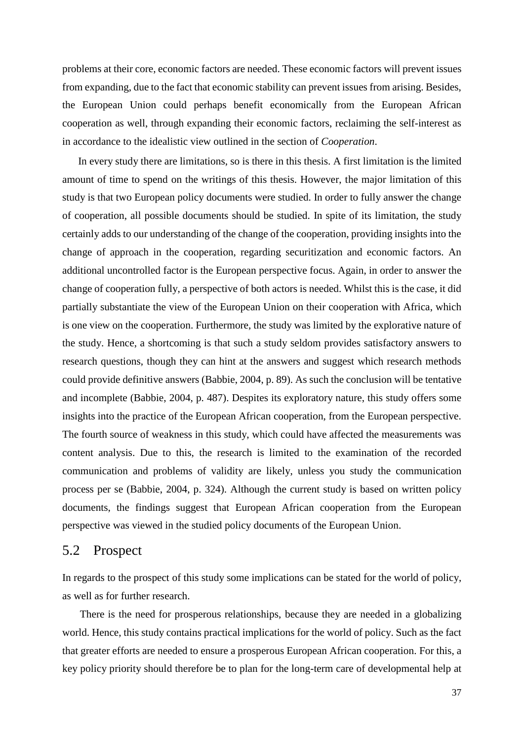problems at their core, economic factors are needed. These economic factors will prevent issues from expanding, due to the fact that economic stability can prevent issues from arising. Besides, the European Union could perhaps benefit economically from the European African cooperation as well, through expanding their economic factors, reclaiming the self-interest as in accordance to the idealistic view outlined in the section of *Cooperation*.

In every study there are limitations, so is there in this thesis. A first limitation is the limited amount of time to spend on the writings of this thesis. However, the major limitation of this study is that two European policy documents were studied. In order to fully answer the change of cooperation, all possible documents should be studied. In spite of its limitation, the study certainly adds to our understanding of the change of the cooperation, providing insights into the change of approach in the cooperation, regarding securitization and economic factors. An additional uncontrolled factor is the European perspective focus. Again, in order to answer the change of cooperation fully, a perspective of both actors is needed. Whilst this is the case, it did partially substantiate the view of the European Union on their cooperation with Africa, which is one view on the cooperation. Furthermore, the study was limited by the explorative nature of the study. Hence, a shortcoming is that such a study seldom provides satisfactory answers to research questions, though they can hint at the answers and suggest which research methods could provide definitive answers (Babbie, 2004, p. 89). As such the conclusion will be tentative and incomplete (Babbie, 2004, p. 487). Despites its exploratory nature, this study offers some insights into the practice of the European African cooperation, from the European perspective. The fourth source of weakness in this study, which could have affected the measurements was content analysis. Due to this, the research is limited to the examination of the recorded communication and problems of validity are likely, unless you study the communication process per se (Babbie, 2004, p. 324). Although the current study is based on written policy documents, the findings suggest that European African cooperation from the European perspective was viewed in the studied policy documents of the European Union.

#### <span id="page-38-0"></span>5.2 Prospect

In regards to the prospect of this study some implications can be stated for the world of policy, as well as for further research.

There is the need for prosperous relationships, because they are needed in a globalizing world. Hence, this study contains practical implications for the world of policy. Such as the fact that greater efforts are needed to ensure a prosperous European African cooperation. For this, a key policy priority should therefore be to plan for the long-term care of developmental help at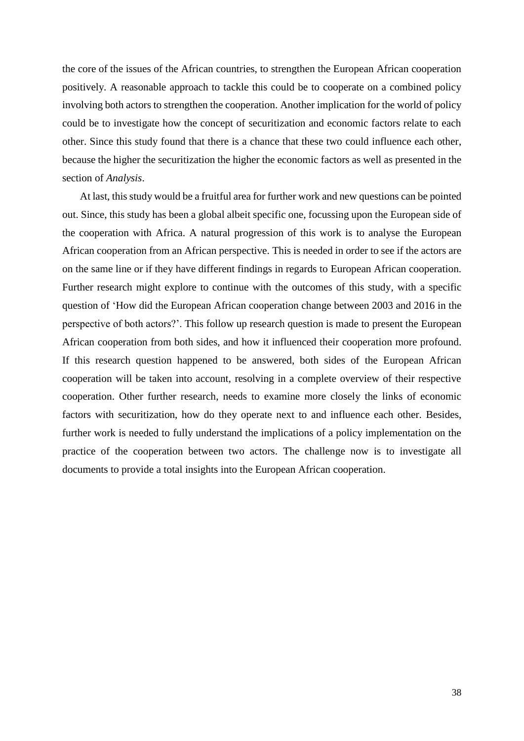the core of the issues of the African countries, to strengthen the European African cooperation positively. A reasonable approach to tackle this could be to cooperate on a combined policy involving both actors to strengthen the cooperation. Another implication for the world of policy could be to investigate how the concept of securitization and economic factors relate to each other. Since this study found that there is a chance that these two could influence each other, because the higher the securitization the higher the economic factors as well as presented in the section of *Analysis*.

At last, this study would be a fruitful area for further work and new questions can be pointed out. Since, this study has been a global albeit specific one, focussing upon the European side of the cooperation with Africa. A natural progression of this work is to analyse the European African cooperation from an African perspective. This is needed in order to see if the actors are on the same line or if they have different findings in regards to European African cooperation. Further research might explore to continue with the outcomes of this study, with a specific question of 'How did the European African cooperation change between 2003 and 2016 in the perspective of both actors?'. This follow up research question is made to present the European African cooperation from both sides, and how it influenced their cooperation more profound. If this research question happened to be answered, both sides of the European African cooperation will be taken into account, resolving in a complete overview of their respective cooperation. Other further research, needs to examine more closely the links of economic factors with securitization, how do they operate next to and influence each other. Besides, further work is needed to fully understand the implications of a policy implementation on the practice of the cooperation between two actors. The challenge now is to investigate all documents to provide a total insights into the European African cooperation.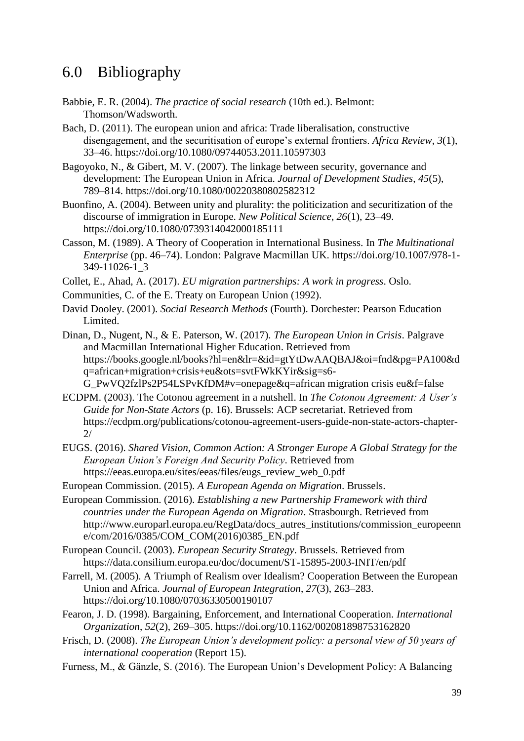# <span id="page-40-0"></span>6.0 Bibliography

- Babbie, E. R. (2004). *The practice of social research* (10th ed.). Belmont: Thomson/Wadsworth.
- Bach, D. (2011). The european union and africa: Trade liberalisation, constructive disengagement, and the securitisation of europe's external frontiers. *Africa Review*, *3*(1), 33–46. https://doi.org/10.1080/09744053.2011.10597303
- Bagoyoko, N., & Gibert, M. V. (2007). The linkage between security, governance and development: The European Union in Africa. *Journal of Development Studies*, *45*(5), 789–814. https://doi.org/10.1080/00220380802582312
- Buonfino, A. (2004). Between unity and plurality: the politicization and securitization of the discourse of immigration in Europe. *New Political Science*, *26*(1), 23–49. https://doi.org/10.1080/0739314042000185111
- Casson, M. (1989). A Theory of Cooperation in International Business. In *The Multinational Enterprise* (pp. 46–74). London: Palgrave Macmillan UK. https://doi.org/10.1007/978-1- 349-11026-1\_3
- Collet, E., Ahad, A. (2017). *EU migration partnerships: A work in progress*. Oslo.
- Communities, C. of the E. Treaty on European Union (1992).
- David Dooley. (2001). *Social Research Methods* (Fourth). Dorchester: Pearson Education Limited.
- Dinan, D., Nugent, N., & E. Paterson, W. (2017). *The European Union in Crisis*. Palgrave and Macmillan International Higher Education. Retrieved from https://books.google.nl/books?hl=en&lr=&id=gtYtDwAAQBAJ&oi=fnd&pg=PA100&d q=african+migration+crisis+eu&ots=svtFWkKYir&sig=s6- G\_PwVQ2fzlPs2P54LSPvKfDM#v=onepage&q=african migration crisis eu&f=false
- ECDPM. (2003). The Cotonou agreement in a nutshell. In *The Cotonou Agreement: A User's Guide for Non-State Actors* (p. 16). Brussels: ACP secretariat. Retrieved from https://ecdpm.org/publications/cotonou-agreement-users-guide-non-state-actors-chapter-2/
- EUGS. (2016). *Shared Vision, Common Action: A Stronger Europe A Global Strategy for the European Union's Foreign And Security Policy*. Retrieved from https://eeas.europa.eu/sites/eeas/files/eugs\_review\_web\_0.pdf
- European Commission. (2015). *A European Agenda on Migration*. Brussels.
- European Commission. (2016). *Establishing a new Partnership Framework with third countries under the European Agenda on Migration*. Strasbourgh. Retrieved from http://www.europarl.europa.eu/RegData/docs\_autres\_institutions/commission\_europeenn e/com/2016/0385/COM\_COM(2016)0385\_EN.pdf
- European Council. (2003). *European Security Strategy*. Brussels. Retrieved from https://data.consilium.europa.eu/doc/document/ST-15895-2003-INIT/en/pdf
- Farrell, M. (2005). A Triumph of Realism over Idealism? Cooperation Between the European Union and Africa. *Journal of European Integration*, *27*(3), 263–283. https://doi.org/10.1080/07036330500190107
- Fearon, J. D. (1998). Bargaining, Enforcement, and International Cooperation. *International Organization*, *52*(2), 269–305. https://doi.org/10.1162/002081898753162820
- Frisch, D. (2008). *The European Union's development policy: a personal view of 50 years of international cooperation* (Report 15).
- Furness, M., & Gänzle, S. (2016). The European Union's Development Policy: A Balancing